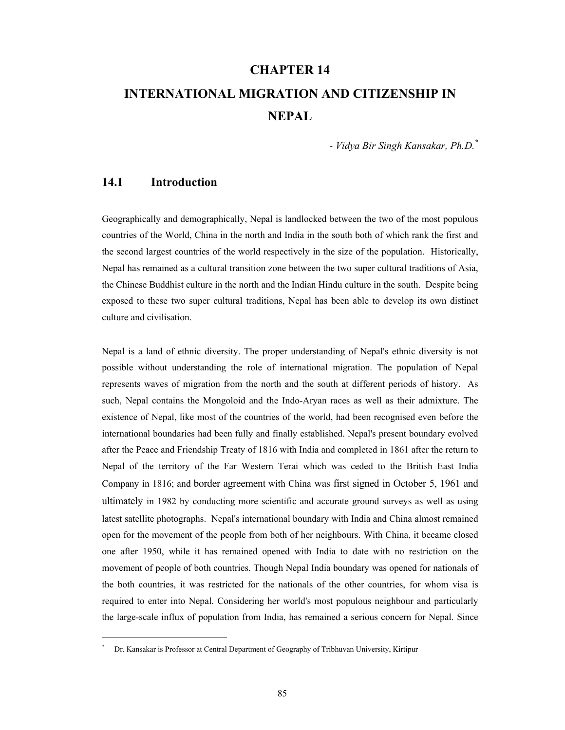# **CHAPTER 14 INTERNATIONAL MIGRATION AND CITIZENSHIP IN NEPAL**

*- Vidya Bir Singh Kansakar, Ph.D.\**

# **14.1 Introduction**

 $\overline{a}$ 

Geographically and demographically, Nepal is landlocked between the two of the most populous countries of the World, China in the north and India in the south both of which rank the first and the second largest countries of the world respectively in the size of the population. Historically, Nepal has remained as a cultural transition zone between the two super cultural traditions of Asia, the Chinese Buddhist culture in the north and the Indian Hindu culture in the south. Despite being exposed to these two super cultural traditions, Nepal has been able to develop its own distinct culture and civilisation.

Nepal is a land of ethnic diversity. The proper understanding of Nepal's ethnic diversity is not possible without understanding the role of international migration. The population of Nepal represents waves of migration from the north and the south at different periods of history. As such, Nepal contains the Mongoloid and the Indo-Aryan races as well as their admixture. The existence of Nepal, like most of the countries of the world, had been recognised even before the international boundaries had been fully and finally established. Nepal's present boundary evolved after the Peace and Friendship Treaty of 1816 with India and completed in 1861 after the return to Nepal of the territory of the Far Western Terai which was ceded to the British East India Company in 1816; and border agreement with China was first signed in October 5, 1961 and ultimately in 1982 by conducting more scientific and accurate ground surveys as well as using latest satellite photographs. Nepal's international boundary with India and China almost remained open for the movement of the people from both of her neighbours. With China, it became closed one after 1950, while it has remained opened with India to date with no restriction on the movement of people of both countries. Though Nepal India boundary was opened for nationals of the both countries, it was restricted for the nationals of the other countries, for whom visa is required to enter into Nepal. Considering her world's most populous neighbour and particularly the large-scale influx of population from India, has remained a serious concern for Nepal. Since

<sup>\*</sup> Dr. Kansakar is Professor at Central Department of Geography of Tribhuvan University, Kirtipur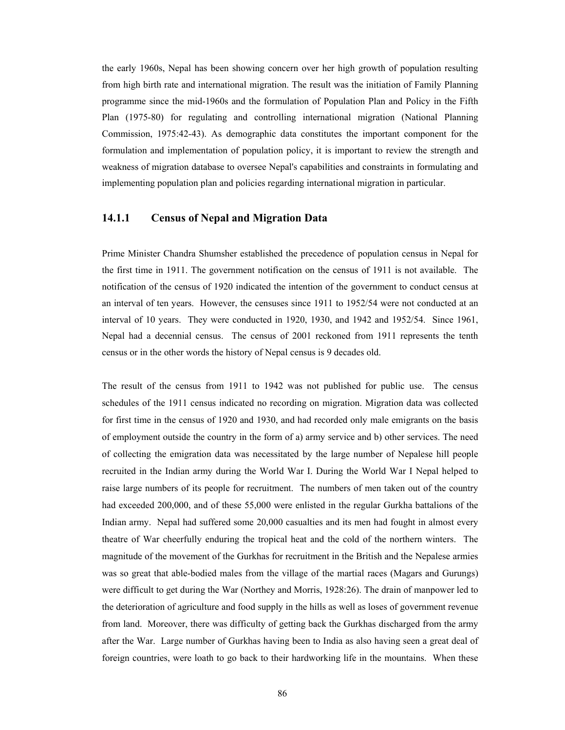the early 1960s, Nepal has been showing concern over her high growth of population resulting from high birth rate and international migration. The result was the initiation of Family Planning programme since the mid-1960s and the formulation of Population Plan and Policy in the Fifth Plan (1975-80) for regulating and controlling international migration (National Planning Commission, 1975:42-43). As demographic data constitutes the important component for the formulation and implementation of population policy, it is important to review the strength and weakness of migration database to oversee Nepal's capabilities and constraints in formulating and implementing population plan and policies regarding international migration in particular.

#### **14.1.1 Census of Nepal and Migration Data**

Prime Minister Chandra Shumsher established the precedence of population census in Nepal for the first time in 1911. The government notification on the census of 1911 is not available. The notification of the census of 1920 indicated the intention of the government to conduct census at an interval of ten years. However, the censuses since 1911 to 1952/54 were not conducted at an interval of 10 years. They were conducted in 1920, 1930, and 1942 and 1952/54. Since 1961, Nepal had a decennial census. The census of 2001 reckoned from 1911 represents the tenth census or in the other words the history of Nepal census is 9 decades old.

The result of the census from 1911 to 1942 was not published for public use. The census schedules of the 1911 census indicated no recording on migration. Migration data was collected for first time in the census of 1920 and 1930, and had recorded only male emigrants on the basis of employment outside the country in the form of a) army service and b) other services. The need of collecting the emigration data was necessitated by the large number of Nepalese hill people recruited in the Indian army during the World War I. During the World War I Nepal helped to raise large numbers of its people for recruitment. The numbers of men taken out of the country had exceeded 200,000, and of these 55,000 were enlisted in the regular Gurkha battalions of the Indian army. Nepal had suffered some 20,000 casualties and its men had fought in almost every theatre of War cheerfully enduring the tropical heat and the cold of the northern winters. The magnitude of the movement of the Gurkhas for recruitment in the British and the Nepalese armies was so great that able-bodied males from the village of the martial races (Magars and Gurungs) were difficult to get during the War (Northey and Morris, 1928:26). The drain of manpower led to the deterioration of agriculture and food supply in the hills as well as loses of government revenue from land. Moreover, there was difficulty of getting back the Gurkhas discharged from the army after the War. Large number of Gurkhas having been to India as also having seen a great deal of foreign countries, were loath to go back to their hardworking life in the mountains. When these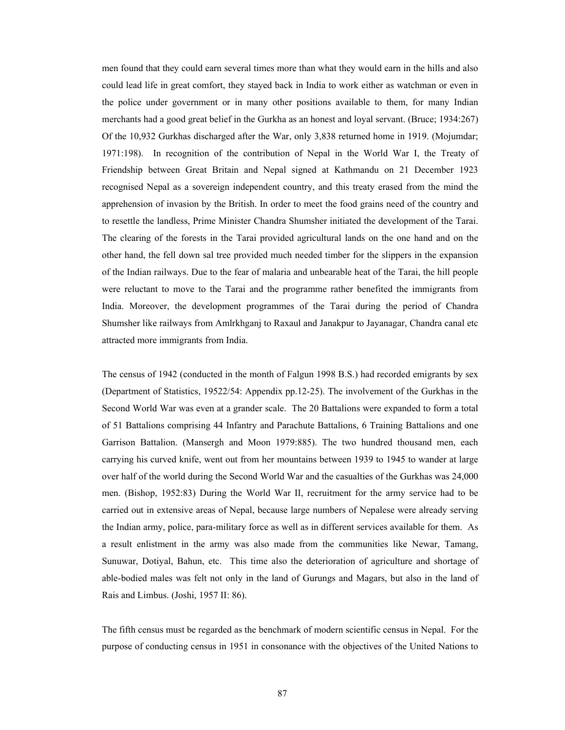men found that they could earn several times more than what they would earn in the hills and also could lead life in great comfort, they stayed back in India to work either as watchman or even in the police under government or in many other positions available to them, for many Indian merchants had a good great belief in the Gurkha as an honest and loyal servant. (Bruce; 1934:267) Of the 10,932 Gurkhas discharged after the War, only 3,838 returned home in 1919. (Mojumdar; 1971:198). In recognition of the contribution of Nepal in the World War I, the Treaty of Friendship between Great Britain and Nepal signed at Kathmandu on 21 December 1923 recognised Nepal as a sovereign independent country, and this treaty erased from the mind the apprehension of invasion by the British. In order to meet the food grains need of the country and to resettle the landless, Prime Minister Chandra Shumsher initiated the development of the Tarai. The clearing of the forests in the Tarai provided agricultural lands on the one hand and on the other hand, the fell down sal tree provided much needed timber for the slippers in the expansion of the Indian railways. Due to the fear of malaria and unbearable heat of the Tarai, the hill people were reluctant to move to the Tarai and the programme rather benefited the immigrants from India. Moreover, the development programmes of the Tarai during the period of Chandra Shumsher like railways from Amlrkhganj to Raxaul and Janakpur to Jayanagar, Chandra canal etc attracted more immigrants from India.

The census of 1942 (conducted in the month of Falgun 1998 B.S.) had recorded emigrants by sex (Department of Statistics, 19522/54: Appendix pp.12-25). The involvement of the Gurkhas in the Second World War was even at a grander scale. The 20 Battalions were expanded to form a total of 51 Battalions comprising 44 Infantry and Parachute Battalions, 6 Training Battalions and one Garrison Battalion. (Mansergh and Moon 1979:885). The two hundred thousand men, each carrying his curved knife, went out from her mountains between 1939 to 1945 to wander at large over half of the world during the Second World War and the casualties of the Gurkhas was 24,000 men. (Bishop, 1952:83) During the World War II, recruitment for the army service had to be carried out in extensive areas of Nepal, because large numbers of Nepalese were already serving the Indian army, police, para-military force as well as in different services available for them. As a result enlistment in the army was also made from the communities like Newar, Tamang, Sunuwar, Dotiyal, Bahun, etc. This time also the deterioration of agriculture and shortage of able-bodied males was felt not only in the land of Gurungs and Magars, but also in the land of Rais and Limbus. (Joshi, 1957 II: 86).

The fifth census must be regarded as the benchmark of modern scientific census in Nepal. For the purpose of conducting census in 1951 in consonance with the objectives of the United Nations to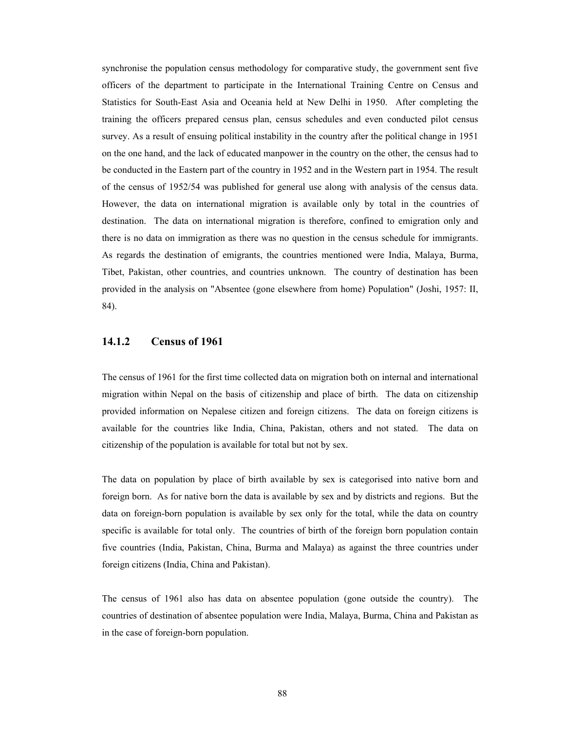synchronise the population census methodology for comparative study, the government sent five officers of the department to participate in the International Training Centre on Census and Statistics for South-East Asia and Oceania held at New Delhi in 1950. After completing the training the officers prepared census plan, census schedules and even conducted pilot census survey. As a result of ensuing political instability in the country after the political change in 1951 on the one hand, and the lack of educated manpower in the country on the other, the census had to be conducted in the Eastern part of the country in 1952 and in the Western part in 1954. The result of the census of 1952/54 was published for general use along with analysis of the census data. However, the data on international migration is available only by total in the countries of destination. The data on international migration is therefore, confined to emigration only and there is no data on immigration as there was no question in the census schedule for immigrants. As regards the destination of emigrants, the countries mentioned were India, Malaya, Burma, Tibet, Pakistan, other countries, and countries unknown. The country of destination has been provided in the analysis on "Absentee (gone elsewhere from home) Population" (Joshi, 1957: II, 84).

#### **14.1.2 Census of 1961**

The census of 1961 for the first time collected data on migration both on internal and international migration within Nepal on the basis of citizenship and place of birth. The data on citizenship provided information on Nepalese citizen and foreign citizens. The data on foreign citizens is available for the countries like India, China, Pakistan, others and not stated. The data on citizenship of the population is available for total but not by sex.

The data on population by place of birth available by sex is categorised into native born and foreign born. As for native born the data is available by sex and by districts and regions. But the data on foreign-born population is available by sex only for the total, while the data on country specific is available for total only. The countries of birth of the foreign born population contain five countries (India, Pakistan, China, Burma and Malaya) as against the three countries under foreign citizens (India, China and Pakistan).

The census of 1961 also has data on absentee population (gone outside the country). The countries of destination of absentee population were India, Malaya, Burma, China and Pakistan as in the case of foreign-born population.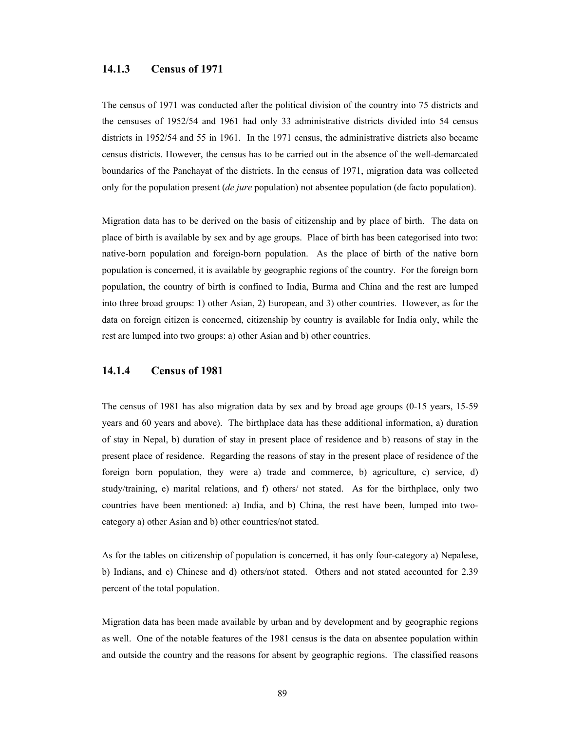#### **14.1.3 Census of 1971**

The census of 1971 was conducted after the political division of the country into 75 districts and the censuses of 1952/54 and 1961 had only 33 administrative districts divided into 54 census districts in 1952/54 and 55 in 1961. In the 1971 census, the administrative districts also became census districts. However, the census has to be carried out in the absence of the well-demarcated boundaries of the Panchayat of the districts. In the census of 1971, migration data was collected only for the population present (*de jure* population) not absentee population (de facto population).

Migration data has to be derived on the basis of citizenship and by place of birth. The data on place of birth is available by sex and by age groups. Place of birth has been categorised into two: native-born population and foreign-born population. As the place of birth of the native born population is concerned, it is available by geographic regions of the country. For the foreign born population, the country of birth is confined to India, Burma and China and the rest are lumped into three broad groups: 1) other Asian, 2) European, and 3) other countries. However, as for the data on foreign citizen is concerned, citizenship by country is available for India only, while the rest are lumped into two groups: a) other Asian and b) other countries.

## **14.1.4 Census of 1981**

The census of 1981 has also migration data by sex and by broad age groups (0-15 years, 15-59 years and 60 years and above). The birthplace data has these additional information, a) duration of stay in Nepal, b) duration of stay in present place of residence and b) reasons of stay in the present place of residence. Regarding the reasons of stay in the present place of residence of the foreign born population, they were a) trade and commerce, b) agriculture, c) service, d) study/training, e) marital relations, and f) others/ not stated. As for the birthplace, only two countries have been mentioned: a) India, and b) China, the rest have been, lumped into twocategory a) other Asian and b) other countries/not stated.

As for the tables on citizenship of population is concerned, it has only four-category a) Nepalese, b) Indians, and c) Chinese and d) others/not stated. Others and not stated accounted for 2.39 percent of the total population.

Migration data has been made available by urban and by development and by geographic regions as well. One of the notable features of the 1981 census is the data on absentee population within and outside the country and the reasons for absent by geographic regions. The classified reasons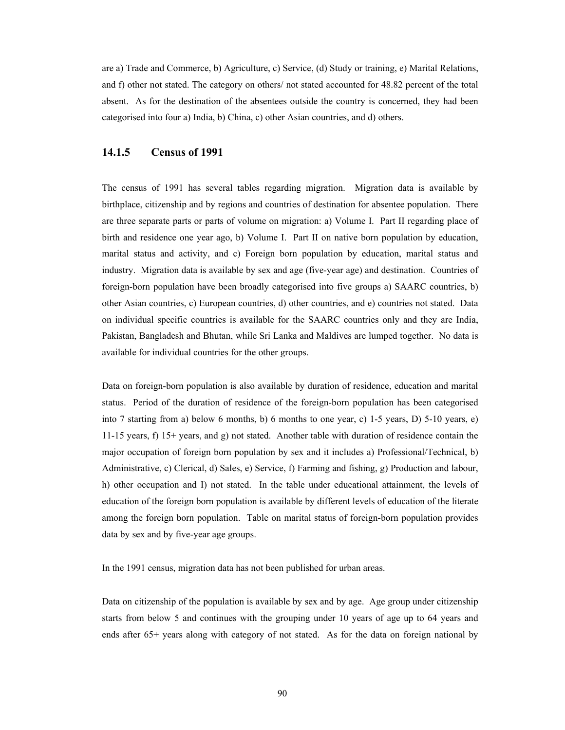are a) Trade and Commerce, b) Agriculture, c) Service, (d) Study or training, e) Marital Relations, and f) other not stated. The category on others/ not stated accounted for 48.82 percent of the total absent. As for the destination of the absentees outside the country is concerned, they had been categorised into four a) India, b) China, c) other Asian countries, and d) others.

### **14.1.5 Census of 1991**

The census of 1991 has several tables regarding migration. Migration data is available by birthplace, citizenship and by regions and countries of destination for absentee population. There are three separate parts or parts of volume on migration: a) Volume I. Part II regarding place of birth and residence one year ago, b) Volume I. Part II on native born population by education, marital status and activity, and c) Foreign born population by education, marital status and industry. Migration data is available by sex and age (five-year age) and destination. Countries of foreign-born population have been broadly categorised into five groups a) SAARC countries, b) other Asian countries, c) European countries, d) other countries, and e) countries not stated. Data on individual specific countries is available for the SAARC countries only and they are India, Pakistan, Bangladesh and Bhutan, while Sri Lanka and Maldives are lumped together. No data is available for individual countries for the other groups.

Data on foreign-born population is also available by duration of residence, education and marital status. Period of the duration of residence of the foreign-born population has been categorised into 7 starting from a) below 6 months, b) 6 months to one year, c) 1-5 years, D) 5-10 years, e) 11-15 years, f) 15+ years, and g) not stated. Another table with duration of residence contain the major occupation of foreign born population by sex and it includes a) Professional/Technical, b) Administrative, c) Clerical, d) Sales, e) Service, f) Farming and fishing, g) Production and labour, h) other occupation and I) not stated. In the table under educational attainment, the levels of education of the foreign born population is available by different levels of education of the literate among the foreign born population. Table on marital status of foreign-born population provides data by sex and by five-year age groups.

In the 1991 census, migration data has not been published for urban areas.

Data on citizenship of the population is available by sex and by age. Age group under citizenship starts from below 5 and continues with the grouping under 10 years of age up to 64 years and ends after 65+ years along with category of not stated. As for the data on foreign national by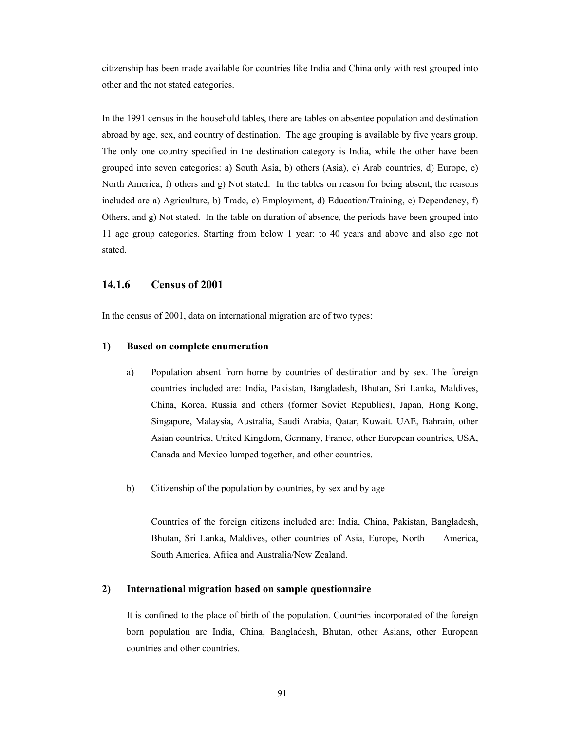citizenship has been made available for countries like India and China only with rest grouped into other and the not stated categories.

In the 1991 census in the household tables, there are tables on absentee population and destination abroad by age, sex, and country of destination. The age grouping is available by five years group. The only one country specified in the destination category is India, while the other have been grouped into seven categories: a) South Asia, b) others (Asia), c) Arab countries, d) Europe, e) North America, f) others and g) Not stated. In the tables on reason for being absent, the reasons included are a) Agriculture, b) Trade, c) Employment, d) Education/Training, e) Dependency, f) Others, and g) Not stated. In the table on duration of absence, the periods have been grouped into 11 age group categories. Starting from below 1 year: to 40 years and above and also age not stated.

#### **14.1.6 Census of 2001**

In the census of 2001, data on international migration are of two types:

#### **1) Based on complete enumeration**

- a) Population absent from home by countries of destination and by sex. The foreign countries included are: India, Pakistan, Bangladesh, Bhutan, Sri Lanka, Maldives, China, Korea, Russia and others (former Soviet Republics), Japan, Hong Kong, Singapore, Malaysia, Australia, Saudi Arabia, Qatar, Kuwait. UAE, Bahrain, other Asian countries, United Kingdom, Germany, France, other European countries, USA, Canada and Mexico lumped together, and other countries.
- b) Citizenship of the population by countries, by sex and by age

 Countries of the foreign citizens included are: India, China, Pakistan, Bangladesh, Bhutan, Sri Lanka, Maldives, other countries of Asia, Europe, North America, South America, Africa and Australia/New Zealand.

#### **2) International migration based on sample questionnaire**

 It is confined to the place of birth of the population. Countries incorporated of the foreign born population are India, China, Bangladesh, Bhutan, other Asians, other European countries and other countries.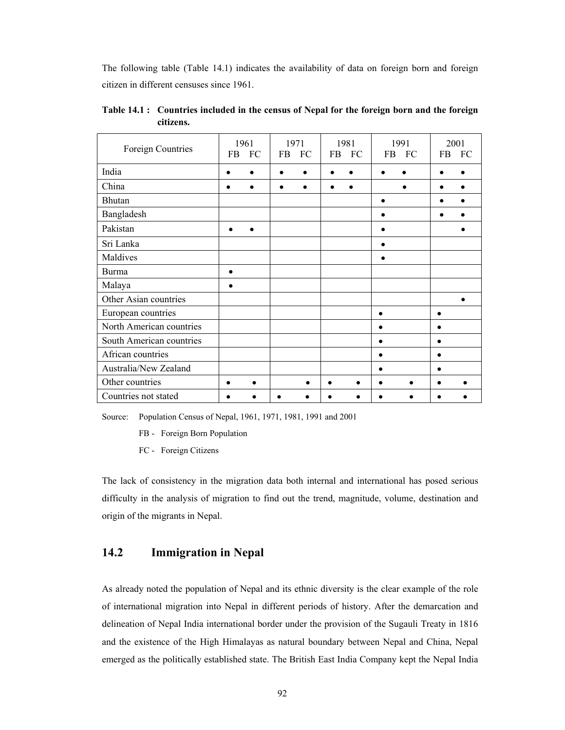The following table (Table 14.1) indicates the availability of data on foreign born and foreign citizen in different censuses since 1961.

| Foreign Countries        | FB        | 1961<br>FC | <b>FB</b> | 1971<br>FC | <b>FB</b> | 1981<br>FC | <b>FB</b> | 1991<br>FC | FB | 2001<br>FC |
|--------------------------|-----------|------------|-----------|------------|-----------|------------|-----------|------------|----|------------|
| India                    | ٠         |            |           | $\bullet$  |           |            |           |            |    |            |
| China                    |           |            |           |            |           |            |           |            |    |            |
| <b>Bhutan</b>            |           |            |           |            |           |            | ٠         |            |    |            |
| Bangladesh               |           |            |           |            |           |            |           |            |    |            |
| Pakistan                 |           |            |           |            |           |            |           |            |    |            |
| Sri Lanka                |           |            |           |            |           |            |           |            |    |            |
| Maldives                 |           |            |           |            |           |            |           |            |    |            |
| <b>Burma</b>             | $\bullet$ |            |           |            |           |            |           |            |    |            |
| Malaya                   |           |            |           |            |           |            |           |            |    |            |
| Other Asian countries    |           |            |           |            |           |            |           |            |    |            |
| European countries       |           |            |           |            |           |            | ٠         |            |    |            |
| North American countries |           |            |           |            |           |            |           |            |    |            |
| South American countries |           |            |           |            |           |            |           |            |    |            |
| African countries        |           |            |           |            |           |            |           |            |    |            |
| Australia/New Zealand    |           |            |           |            |           |            |           |            |    |            |
| Other countries          |           |            |           |            |           |            |           |            |    |            |
| Countries not stated     |           |            |           |            |           |            |           |            |    |            |

**Table 14.1 : Countries included in the census of Nepal for the foreign born and the foreign citizens.** 

Source: Population Census of Nepal, 1961, 1971, 1981, 1991 and 2001

FB - Foreign Born Population

FC - Foreign Citizens

The lack of consistency in the migration data both internal and international has posed serious difficulty in the analysis of migration to find out the trend, magnitude, volume, destination and origin of the migrants in Nepal.

# **14.2 Immigration in Nepal**

As already noted the population of Nepal and its ethnic diversity is the clear example of the role of international migration into Nepal in different periods of history. After the demarcation and delineation of Nepal India international border under the provision of the Sugauli Treaty in 1816 and the existence of the High Himalayas as natural boundary between Nepal and China, Nepal emerged as the politically established state. The British East India Company kept the Nepal India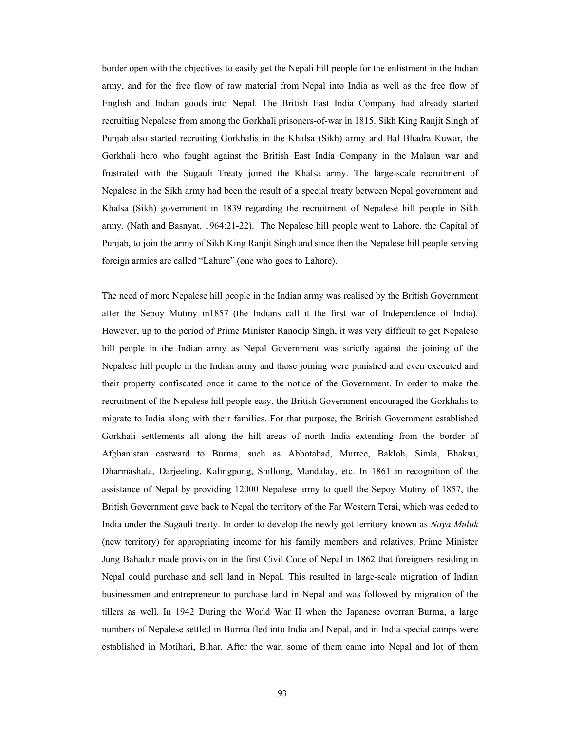border open with the objectives to easily get the Nepali hill people for the enlistment in the Indian army, and for the free flow of raw material from Nepal into India as well as the free flow of English and Indian goods into Nepal. The British East India Company had already started recruiting Nepalese from among the Gorkhali prisoners-of-war in 1815. Sikh King Ranjit Singh of Punjab also started recruiting Gorkhalis in the Khalsa (Sikh) army and Bal Bhadra Kuwar, the Gorkhali hero who fought against the British East India Company in the Malaun war and frustrated with the Sugauli Treaty joined the Khalsa army. The large-scale recruitment of Nepalese in the Sikh army had been the result of a special treaty between Nepal government and Khalsa (Sikh) government in 1839 regarding the recruitment of Nepalese hill people in Sikh army. (Nath and Basnyat, 1964:21-22). The Nepalese hill people went to Lahore, the Capital of Punjab, to join the army of Sikh King Ranjit Singh and since then the Nepalese hill people serving foreign armies are called "Lahure" (one who goes to Lahore).

The need of more Nepalese hill people in the Indian army was realised by the British Government after the Sepoy Mutiny in1857 (the Indians call it the first war of Independence of India). However, up to the period of Prime Minister Ranodip Singh, it was very difficult to get Nepalese hill people in the Indian army as Nepal Government was strictly against the joining of the Nepalese hill people in the Indian army and those joining were punished and even executed and their property confiscated once it came to the notice of the Government. In order to make the recruitment of the Nepalese hill people easy, the British Government encouraged the Gorkhalis to migrate to India along with their families. For that purpose, the British Government established Gorkhali settlements all along the hill areas of north India extending from the border of Afghanistan eastward to Burma, such as Abbotabad, Murree, Bakloh, Simla, Bhaksu, Dharmashala, Darjeeling, Kalingpong, Shillong, Mandalay, etc. In 1861 in recognition of the assistance of Nepal by providing 12000 Nepalese army to quell the Sepoy Mutiny of 1857, the British Government gave back to Nepal the territory of the Far Western Terai, which was ceded to India under the Sugauli treaty. In order to develop the newly got territory known as *Naya Muluk*  (new territory) for appropriating income for his family members and relatives, Prime Minister Jung Bahadur made provision in the first Civil Code of Nepal in 1862 that foreigners residing in Nepal could purchase and sell land in Nepal. This resulted in large-scale migration of Indian businessmen and entrepreneur to purchase land in Nepal and was followed by migration of the tillers as well. In 1942 During the World War II when the Japanese overran Burma, a large numbers of Nepalese settled in Burma fled into India and Nepal, and in India special camps were established in Motihari, Bihar. After the war, some of them came into Nepal and lot of them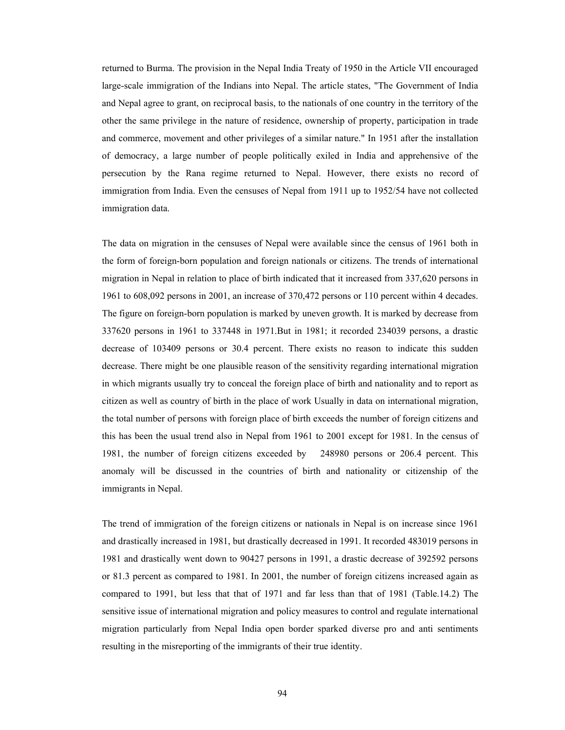returned to Burma. The provision in the Nepal India Treaty of 1950 in the Article VII encouraged large-scale immigration of the Indians into Nepal. The article states, "The Government of India and Nepal agree to grant, on reciprocal basis, to the nationals of one country in the territory of the other the same privilege in the nature of residence, ownership of property, participation in trade and commerce, movement and other privileges of a similar nature." In 1951 after the installation of democracy, a large number of people politically exiled in India and apprehensive of the persecution by the Rana regime returned to Nepal. However, there exists no record of immigration from India. Even the censuses of Nepal from 1911 up to 1952/54 have not collected immigration data.

The data on migration in the censuses of Nepal were available since the census of 1961 both in the form of foreign-born population and foreign nationals or citizens. The trends of international migration in Nepal in relation to place of birth indicated that it increased from 337,620 persons in 1961 to 608,092 persons in 2001, an increase of 370,472 persons or 110 percent within 4 decades. The figure on foreign-born population is marked by uneven growth. It is marked by decrease from 337620 persons in 1961 to 337448 in 1971.But in 1981; it recorded 234039 persons, a drastic decrease of 103409 persons or 30.4 percent. There exists no reason to indicate this sudden decrease. There might be one plausible reason of the sensitivity regarding international migration in which migrants usually try to conceal the foreign place of birth and nationality and to report as citizen as well as country of birth in the place of work Usually in data on international migration, the total number of persons with foreign place of birth exceeds the number of foreign citizens and this has been the usual trend also in Nepal from 1961 to 2001 except for 1981. In the census of 1981, the number of foreign citizens exceeded by 248980 persons or 206.4 percent. This anomaly will be discussed in the countries of birth and nationality or citizenship of the immigrants in Nepal.

The trend of immigration of the foreign citizens or nationals in Nepal is on increase since 1961 and drastically increased in 1981, but drastically decreased in 1991. It recorded 483019 persons in 1981 and drastically went down to 90427 persons in 1991, a drastic decrease of 392592 persons or 81.3 percent as compared to 1981. In 2001, the number of foreign citizens increased again as compared to 1991, but less that that of 1971 and far less than that of 1981 (Table.14.2) The sensitive issue of international migration and policy measures to control and regulate international migration particularly from Nepal India open border sparked diverse pro and anti sentiments resulting in the misreporting of the immigrants of their true identity.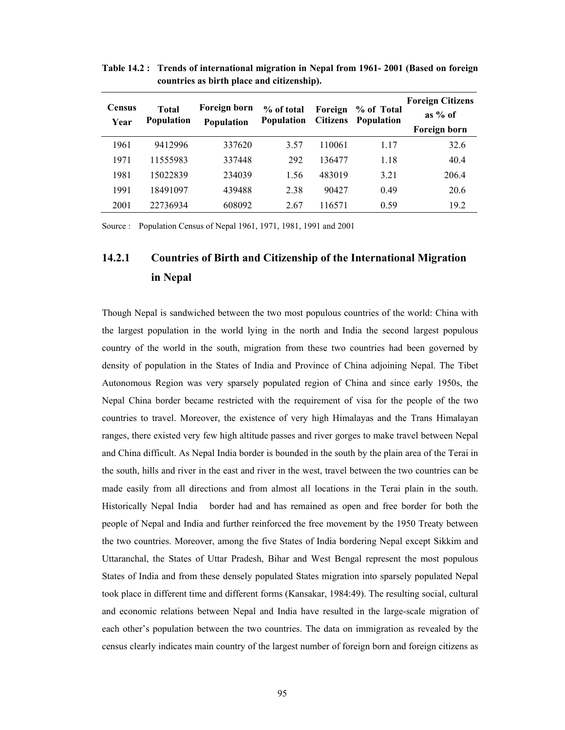| <b>Census</b><br>Year | <b>Total</b><br><b>Population</b> | Foreign born<br>Population | % of total<br><b>Population</b> | Foreign<br><b>Citizens</b> | % of Total<br><b>Population</b> | <b>Foreign Citizens</b><br>as $%$ of<br>Foreign born |
|-----------------------|-----------------------------------|----------------------------|---------------------------------|----------------------------|---------------------------------|------------------------------------------------------|
| 1961                  | 9412996                           | 337620                     | 3.57                            | 110061                     | 1.17                            | 32.6                                                 |
| 1971                  | 11555983                          | 337448                     | 292                             | 136477                     | 1.18                            | 40.4                                                 |
| 1981                  | 15022839                          | 234039                     | 1.56                            | 483019                     | 3.21                            | 206.4                                                |
| 1991                  | 18491097                          | 439488                     | 2.38                            | 90427                      | 0.49                            | 20.6                                                 |
| 2001                  | 22736934                          | 608092                     | 2.67                            | 116571                     | 0.59                            | 19.2                                                 |

**Table 14.2 : Trends of international migration in Nepal from 1961- 2001 (Based on foreign countries as birth place and citizenship).**

Source : Population Census of Nepal 1961, 1971, 1981, 1991 and 2001

# **14.2.1 Countries of Birth and Citizenship of the International Migration in Nepal**

Though Nepal is sandwiched between the two most populous countries of the world: China with the largest population in the world lying in the north and India the second largest populous country of the world in the south, migration from these two countries had been governed by density of population in the States of India and Province of China adjoining Nepal. The Tibet Autonomous Region was very sparsely populated region of China and since early 1950s, the Nepal China border became restricted with the requirement of visa for the people of the two countries to travel. Moreover, the existence of very high Himalayas and the Trans Himalayan ranges, there existed very few high altitude passes and river gorges to make travel between Nepal and China difficult. As Nepal India border is bounded in the south by the plain area of the Terai in the south, hills and river in the east and river in the west, travel between the two countries can be made easily from all directions and from almost all locations in the Terai plain in the south. Historically Nepal India border had and has remained as open and free border for both the people of Nepal and India and further reinforced the free movement by the 1950 Treaty between the two countries. Moreover, among the five States of India bordering Nepal except Sikkim and Uttaranchal, the States of Uttar Pradesh, Bihar and West Bengal represent the most populous States of India and from these densely populated States migration into sparsely populated Nepal took place in different time and different forms (Kansakar, 1984:49). The resulting social, cultural and economic relations between Nepal and India have resulted in the large-scale migration of each other's population between the two countries. The data on immigration as revealed by the census clearly indicates main country of the largest number of foreign born and foreign citizens as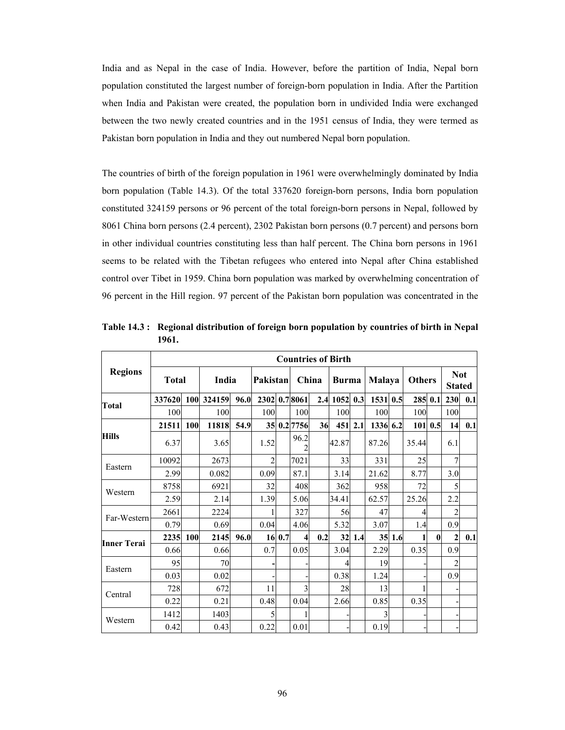India and as Nepal in the case of India. However, before the partition of India, Nepal born population constituted the largest number of foreign-born population in India. After the Partition when India and Pakistan were created, the population born in undivided India were exchanged between the two newly created countries and in the 1951 census of India, they were termed as Pakistan born population in India and they out numbered Nepal born population.

The countries of birth of the foreign population in 1961 were overwhelmingly dominated by India born population (Table 14.3). Of the total 337620 foreign-born persons, India born population constituted 324159 persons or 96 percent of the total foreign-born persons in Nepal, followed by 8061 China born persons (2.4 percent), 2302 Pakistan born persons (0.7 percent) and persons born in other individual countries constituting less than half percent. The China born persons in 1961 seems to be related with the Tibetan refugees who entered into Nepal after China established control over Tibet in 1959. China born population was marked by overwhelming concentration of 96 percent in the Hill region. 97 percent of the Pakistan born population was concentrated in the

|                |              |     |            |      | <b>Countries of Birth</b> |        |              |       |              |         |               |        |               |              |                |            |
|----------------|--------------|-----|------------|------|---------------------------|--------|--------------|-------|--------------|---------|---------------|--------|---------------|--------------|----------------|------------|
| <b>Regions</b> | <b>Total</b> |     | India      |      | Pakistan                  |        |              | China | <b>Burma</b> |         | <b>Malaya</b> |        | <b>Others</b> |              | <b>Stated</b>  | <b>Not</b> |
| Total          | 337620       |     | 100 324159 | 96.0 |                           |        | 2302 0.78061 |       | 2.4 1052 0.3 |         | 1531          | 0.5    |               | 285 0.1      | 230            | 0.1        |
|                | 100          |     | 100        |      | 100                       |        | 100          |       | 100          |         | 100           |        | 100           |              | 100            |            |
|                | 21511        | 100 | 11818      | 54.9 |                           |        | 35 0.2 7756  | 36    |              | 451 2.1 | 1336 6.2      |        |               | 101   0.5    | 14             | 0.1        |
| <b>Hills</b>   | 6.37         |     | 3.65       |      | 1.52                      |        | 96.2         |       | 42.87        |         | 87.26         |        | 35.44         |              | 6.1            |            |
| Eastern        | 10092        |     | 2673       |      | $\overline{c}$            |        | 7021         |       | 33           |         | 331           |        | 25            |              | 7              |            |
|                | 2.99         |     | 0.082      |      | 0.09                      |        | 87.1         |       | 3.14         |         | 21.62         |        | 8.77          |              | 3.0            |            |
| Western        | 8758         |     | 6921       |      | 32                        |        | 408          |       | 362          |         | 958           |        | 72            |              | 5              |            |
|                | 2.59         |     | 2.14       |      | 1.39                      |        | 5.06         |       | 34.41        |         | 62.57         |        | 25.26         |              | 2.2            |            |
| Far-Western    | 2661         |     | 2224       |      |                           |        | 327          |       | 56           |         | 47            |        | 4             |              | $\overline{2}$ |            |
|                | 0.79         |     | 0.69       |      | 0.04                      |        | 4.06         |       | 5.32         |         | 3.07          |        | 1.4           |              | 0.9            |            |
| Inner Terai    | 2235         | 100 | 2145       | 96.0 |                           | 16 0.7 | 4            | 0.2   |              | 32 1.4  |               | 35 1.6 |               | $\mathbf{0}$ | $\overline{2}$ | 0.1        |
|                | 0.66         |     | 0.66       |      | 0.7                       |        | 0.05         |       | 3.04         |         | 2.29          |        | 0.35          |              | 0.9            |            |
| Eastern        | 95           |     | 70         |      |                           |        |              |       | 4            |         | 19            |        |               |              | $\overline{2}$ |            |
|                | 0.03         |     | 0.02       |      |                           |        |              |       | 0.38         |         | 1.24          |        |               |              | 0.9            |            |
| Central        | 728          |     | 672        |      | 11                        |        | 3            |       | 28           |         | 13            |        |               |              |                |            |
|                | 0.22         |     | 0.21       |      | 0.48                      |        | 0.04         |       | 2.66         |         | 0.85          |        | 0.35          |              |                |            |
| Western        | 1412         |     | 1403       |      | 5                         |        |              |       |              |         | 3             |        |               |              |                |            |
|                | 0.42         |     | 0.43       |      | 0.22                      |        | 0.01         |       |              |         | 0.19          |        |               |              |                |            |

**Table 14.3 : Regional distribution of foreign born population by countries of birth in Nepal 1961.**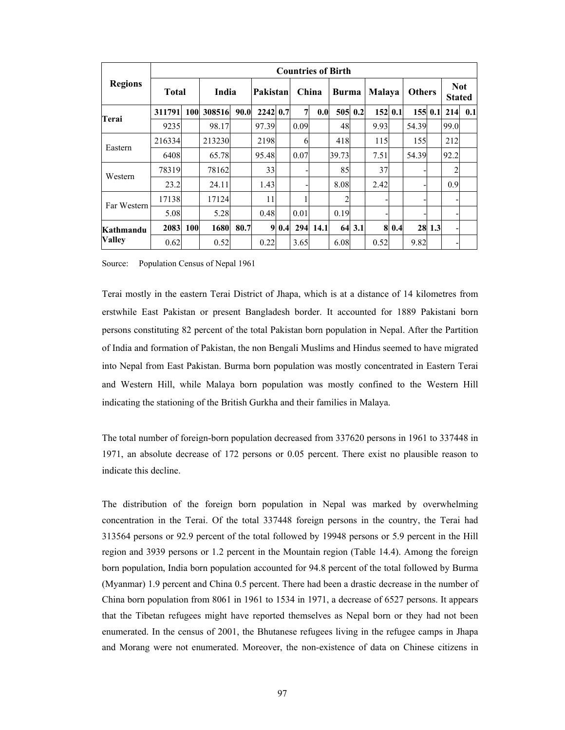|                |              |            |              |      |          |     |                |       | <b>Countries of Birth</b> |        |         |       |               |         |                             |     |
|----------------|--------------|------------|--------------|------|----------|-----|----------------|-------|---------------------------|--------|---------|-------|---------------|---------|-----------------------------|-----|
| <b>Regions</b> | <b>Total</b> |            | <b>India</b> |      | Pakistan |     |                | China | <b>Burma</b>              |        | Malaya  |       | <b>Others</b> |         | <b>Not</b><br><b>Stated</b> |     |
| Terai          | 311791       | 100        | 308516       | 90.0 | 2242 0.7 |     | $\overline{7}$ | 0.0   | 505 0.2                   |        | 152 0.1 |       |               | 155 0.1 | 214                         | 0.1 |
|                | 9235         |            | 98.17        |      | 97.39    |     | 0.09           |       | 48                        |        | 9.93    |       | 54.39         |         | 99.0                        |     |
| Eastern        | 216334       |            | 213230       |      | 2198     |     | 6              |       | 418                       |        | 115     |       | 155           |         | 212                         |     |
|                | 6408         |            | 65.78        |      | 95.48    |     | 0.07           |       | 39.73                     |        | 7.51    |       | 54.39         |         | 92.2                        |     |
| Western        | 78319        |            | 78162        |      | 33       |     |                |       | 85                        |        | 37      |       |               |         | 2                           |     |
|                | 23.2         |            | 24.11        |      | 1.43     |     |                |       | 8.08                      |        | 2.42    |       |               |         | 0.9                         |     |
|                | 17138        |            | 17124        |      | 11       |     |                |       | 2                         |        |         |       |               |         |                             |     |
| Far Western    | 5.08         |            | 5.28         |      | 0.48     |     | 0.01           |       | 0.19                      |        |         |       |               |         |                             |     |
| Kathmandu      | 2083         | <b>100</b> | 1680         | 80.7 | 9        | 0.4 | 294            | 14.1  |                           | 64 3.1 |         | 8 0.4 |               | 28 1.3  |                             |     |
| <b>Valley</b>  | 0.62         |            | 0.52         |      | 0.22     |     | 3.65           |       | 6.08                      |        | 0.52    |       | 9.82          |         |                             |     |

Source: Population Census of Nepal 1961

Terai mostly in the eastern Terai District of Jhapa, which is at a distance of 14 kilometres from erstwhile East Pakistan or present Bangladesh border. It accounted for 1889 Pakistani born persons constituting 82 percent of the total Pakistan born population in Nepal. After the Partition of India and formation of Pakistan, the non Bengali Muslims and Hindus seemed to have migrated into Nepal from East Pakistan. Burma born population was mostly concentrated in Eastern Terai and Western Hill, while Malaya born population was mostly confined to the Western Hill indicating the stationing of the British Gurkha and their families in Malaya.

The total number of foreign-born population decreased from 337620 persons in 1961 to 337448 in 1971, an absolute decrease of 172 persons or 0.05 percent. There exist no plausible reason to indicate this decline.

The distribution of the foreign born population in Nepal was marked by overwhelming concentration in the Terai. Of the total 337448 foreign persons in the country, the Terai had 313564 persons or 92.9 percent of the total followed by 19948 persons or 5.9 percent in the Hill region and 3939 persons or 1.2 percent in the Mountain region (Table 14.4). Among the foreign born population, India born population accounted for 94.8 percent of the total followed by Burma (Myanmar) 1.9 percent and China 0.5 percent. There had been a drastic decrease in the number of China born population from 8061 in 1961 to 1534 in 1971, a decrease of 6527 persons. It appears that the Tibetan refugees might have reported themselves as Nepal born or they had not been enumerated. In the census of 2001, the Bhutanese refugees living in the refugee camps in Jhapa and Morang were not enumerated. Moreover, the non-existence of data on Chinese citizens in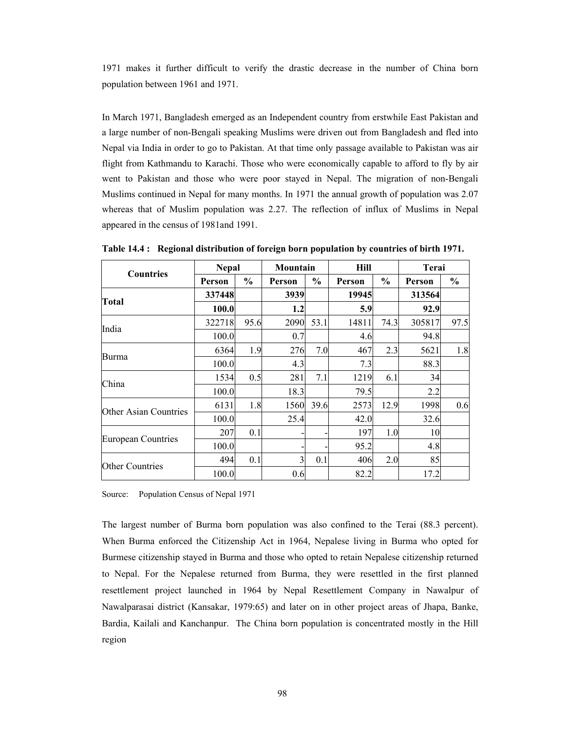1971 makes it further difficult to verify the drastic decrease in the number of China born population between 1961 and 1971.

In March 1971, Bangladesh emerged as an Independent country from erstwhile East Pakistan and a large number of non-Bengali speaking Muslims were driven out from Bangladesh and fled into Nepal via India in order to go to Pakistan. At that time only passage available to Pakistan was air flight from Kathmandu to Karachi. Those who were economically capable to afford to fly by air went to Pakistan and those who were poor stayed in Nepal. The migration of non-Bengali Muslims continued in Nepal for many months. In 1971 the annual growth of population was 2.07 whereas that of Muslim population was 2.27. The reflection of influx of Muslims in Nepal appeared in the census of 1981and 1991.

|                           | <b>Nepal</b> |               | Mountain |               | <b>Hill</b> |               | Terai  |      |
|---------------------------|--------------|---------------|----------|---------------|-------------|---------------|--------|------|
| <b>Countries</b>          | Person       | $\frac{1}{2}$ | Person   | $\frac{6}{9}$ | Person      | $\frac{0}{0}$ | Person | $\%$ |
| <b>Total</b>              | 337448       |               | 3939     |               | 19945       |               | 313564 |      |
|                           | 100.0        |               | 1.2      |               | 5.9         |               | 92.9   |      |
| India                     | 322718       | 95.6          | 2090     | 53.1          | 14811       | 74.3          | 305817 | 97.5 |
|                           | 100.0        |               | 0.7      |               | 4.6         |               | 94.8   |      |
| <b>Burma</b>              | 6364         | 1.9           | 276      | 7.0           | 467         | 2.3           | 5621   | 1.8  |
|                           | 100.0        |               | 4.3      |               | 7.3         |               | 88.3   |      |
| China                     | 1534         | 0.5           | 281      | 7.1           | 1219        | 6.1           | 34     |      |
|                           | 100.0        |               | 18.3     |               | 79.5        |               | 2.2    |      |
| Other Asian Countries     | 6131         | 1.8           | 1560     | 39.6          | 2573        | 12.9          | 1998   | 0.6  |
|                           | 100.0        |               | 25.4     |               | 42.0        |               | 32.6   |      |
|                           | 207          | 0.1           |          |               | 197         | 1.0           | 10     |      |
| <b>European Countries</b> | 100.0        |               |          |               | 95.2        |               | 4.8    |      |
| <b>Other Countries</b>    | 494          | 0.1           | 3        | 0.1           | 406         | 2.0           | 85     |      |
|                           | 100.0        |               | 0.6      |               | 82.2        |               | 17.2   |      |

**Table 14.4 : Regional distribution of foreign born population by countries of birth 1971.** 

Source: Population Census of Nepal 1971

The largest number of Burma born population was also confined to the Terai (88.3 percent). When Burma enforced the Citizenship Act in 1964, Nepalese living in Burma who opted for Burmese citizenship stayed in Burma and those who opted to retain Nepalese citizenship returned to Nepal. For the Nepalese returned from Burma, they were resettled in the first planned resettlement project launched in 1964 by Nepal Resettlement Company in Nawalpur of Nawalparasai district (Kansakar, 1979:65) and later on in other project areas of Jhapa, Banke, Bardia, Kailali and Kanchanpur. The China born population is concentrated mostly in the Hill region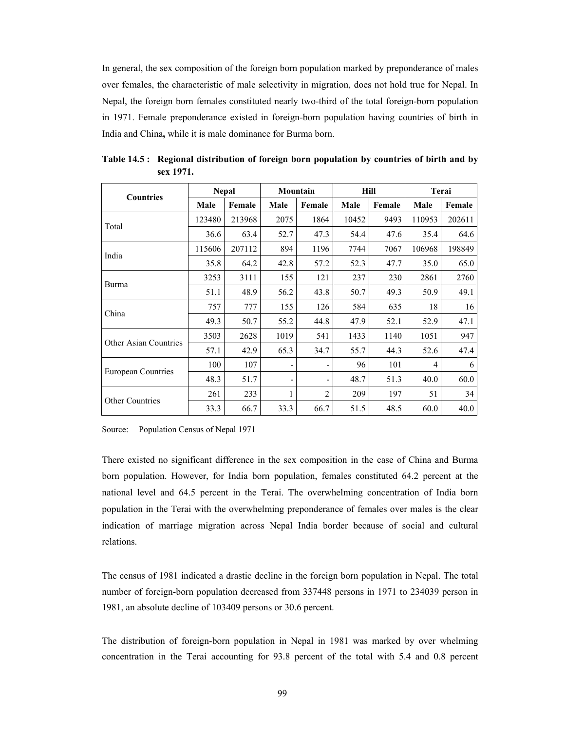In general, the sex composition of the foreign born population marked by preponderance of males over females, the characteristic of male selectivity in migration, does not hold true for Nepal. In Nepal, the foreign born females constituted nearly two-third of the total foreign-born population in 1971. Female preponderance existed in foreign-born population having countries of birth in India and China**,** while it is male dominance for Burma born.

| <b>Countries</b>             |        | <b>Nepal</b> | Mountain |                |       | Hill   | Terai  |        |
|------------------------------|--------|--------------|----------|----------------|-------|--------|--------|--------|
|                              | Male   | Female       | Male     | Female         | Male  | Female | Male   | Female |
| Total                        | 123480 | 213968       | 2075     | 1864           | 10452 | 9493   | 110953 | 202611 |
|                              | 36.6   | 63.4         | 52.7     | 47.3           | 54.4  | 47.6   | 35.4   | 64.6   |
|                              | 115606 | 207112       | 894      | 1196           | 7744  | 7067   | 106968 | 198849 |
| India                        | 35.8   | 64.2         | 42.8     | 57.2           | 52.3  | 47.7   | 35.0   | 65.0   |
|                              | 3253   | 3111         | 155      | 121            | 237   | 230    | 2861   | 2760   |
| Burma                        | 51.1   | 48.9         | 56.2     | 43.8           | 50.7  | 49.3   | 50.9   | 49.1   |
|                              | 757    | 777          | 155      | 126            | 584   | 635    | 18     | 16     |
| China                        | 49.3   | 50.7         | 55.2     | 44.8           | 47.9  | 52.1   | 52.9   | 47.1   |
|                              | 3503   | 2628         | 1019     | 541            | 1433  | 1140   | 1051   | 947    |
| <b>Other Asian Countries</b> | 57.1   | 42.9         | 65.3     | 34.7           | 55.7  | 44.3   | 52.6   | 47.4   |
|                              | 100    | 107          |          |                | 96    | 101    | 4      | 6      |
| European Countries           | 48.3   | 51.7         |          |                | 48.7  | 51.3   | 40.0   | 60.0   |
|                              | 261    | 233          | 1        | $\overline{2}$ | 209   | 197    | 51     | 34     |
| <b>Other Countries</b>       | 33.3   | 66.7         | 33.3     | 66.7           | 51.5  | 48.5   | 60.0   | 40.0   |

**Table 14.5 : Regional distribution of foreign born population by countries of birth and by sex 1971.** 

Source: Population Census of Nepal 1971

There existed no significant difference in the sex composition in the case of China and Burma born population. However, for India born population, females constituted 64.2 percent at the national level and 64.5 percent in the Terai. The overwhelming concentration of India born population in the Terai with the overwhelming preponderance of females over males is the clear indication of marriage migration across Nepal India border because of social and cultural relations.

The census of 1981 indicated a drastic decline in the foreign born population in Nepal. The total number of foreign-born population decreased from 337448 persons in 1971 to 234039 person in 1981, an absolute decline of 103409 persons or 30.6 percent.

The distribution of foreign-born population in Nepal in 1981 was marked by over whelming concentration in the Terai accounting for 93.8 percent of the total with 5.4 and 0.8 percent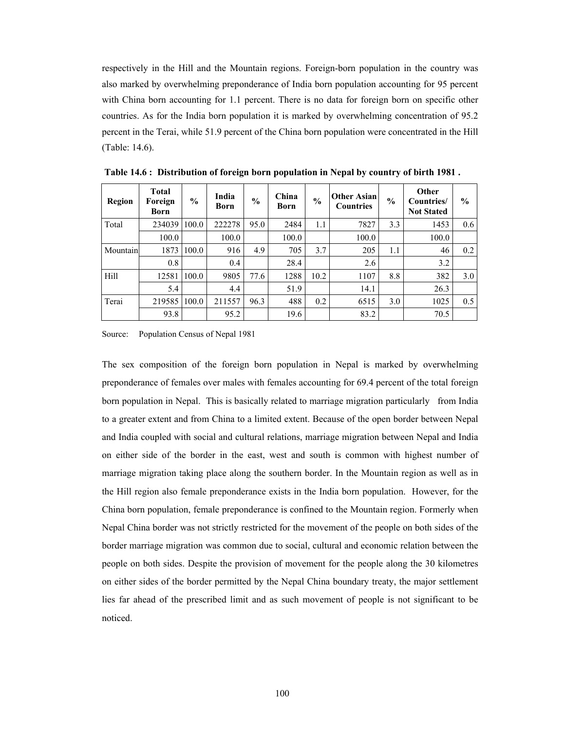respectively in the Hill and the Mountain regions. Foreign-born population in the country was also marked by overwhelming preponderance of India born population accounting for 95 percent with China born accounting for 1.1 percent. There is no data for foreign born on specific other countries. As for the India born population it is marked by overwhelming concentration of 95.2 percent in the Terai, while 51.9 percent of the China born population were concentrated in the Hill (Table: 14.6).

| <b>Region</b> | <b>Total</b><br>Foreign<br>Born | $\frac{0}{0}$ | India<br>Born | $\frac{6}{6}$ | China<br>Born | $\frac{6}{6}$ | <b>Other Asian</b><br><b>Countries</b> | $\frac{6}{6}$ | Other<br>Countries/<br><b>Not Stated</b> | $\frac{0}{0}$ |
|---------------|---------------------------------|---------------|---------------|---------------|---------------|---------------|----------------------------------------|---------------|------------------------------------------|---------------|
| Total         | 234039                          | 100.0         | 222278        | 95.0          | 2484          | 1.1           | 7827                                   | 3.3           | 1453                                     | 0.6           |
|               | 100.0                           |               | 100.0         |               | 100.0         |               | 100.0                                  |               | 100.0                                    |               |
| Mountain      | 1873                            | 100.0         | 916           | 4.9           | 705           | 3.7           | 205                                    | 1.1           | 46                                       | 0.2           |
|               | 0.8                             |               | 0.4           |               | 28.4          |               | 2.6                                    |               | 3.2                                      |               |
| Hill          | 12581                           | 100.0         | 9805          | 77.6          | 1288          | 10.2          | 1107                                   | 8.8           | 382                                      | 3.0           |
|               | 5.4                             |               | 4.4           |               | 51.9          |               | 14.1                                   |               | 26.3                                     |               |
| Terai         | 219585                          | 100.0         | 211557        | 96.3          | 488           | 0.2           | 6515                                   | 3.0           | 1025                                     | 0.5           |
|               | 93.8                            |               | 95.2          |               | 19.6          |               | 83.2                                   |               | 70.5                                     |               |

 **Table 14.6 : Distribution of foreign born population in Nepal by country of birth 1981 .** 

Source: Population Census of Nepal 1981

The sex composition of the foreign born population in Nepal is marked by overwhelming preponderance of females over males with females accounting for 69.4 percent of the total foreign born population in Nepal. This is basically related to marriage migration particularly from India to a greater extent and from China to a limited extent. Because of the open border between Nepal and India coupled with social and cultural relations, marriage migration between Nepal and India on either side of the border in the east, west and south is common with highest number of marriage migration taking place along the southern border. In the Mountain region as well as in the Hill region also female preponderance exists in the India born population. However, for the China born population, female preponderance is confined to the Mountain region. Formerly when Nepal China border was not strictly restricted for the movement of the people on both sides of the border marriage migration was common due to social, cultural and economic relation between the people on both sides. Despite the provision of movement for the people along the 30 kilometres on either sides of the border permitted by the Nepal China boundary treaty, the major settlement lies far ahead of the prescribed limit and as such movement of people is not significant to be noticed.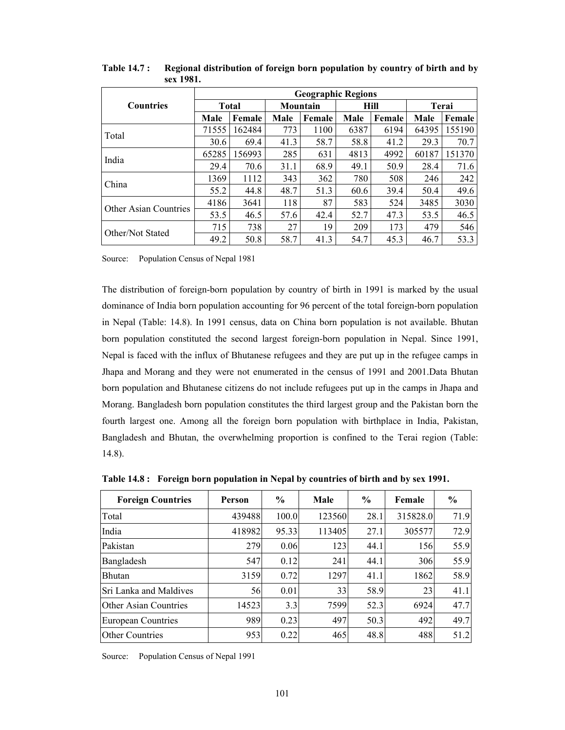|                              | <b>Geographic Regions</b> |        |      |          |      |        |       |        |  |  |  |
|------------------------------|---------------------------|--------|------|----------|------|--------|-------|--------|--|--|--|
| <b>Countries</b>             | <b>Total</b>              |        |      | Mountain |      | Hill   | Terai |        |  |  |  |
|                              | Male                      | Female | Male | Female   | Male | Female | Male  | Female |  |  |  |
| Total                        | 71555                     | 162484 | 773  | 1100     | 6387 | 6194   | 64395 | 155190 |  |  |  |
|                              | 30.6                      | 69.4   | 41.3 | 58.7     | 58.8 | 41.2   | 29.3  | 70.7   |  |  |  |
|                              | 65285                     | 156993 | 285  | 631      | 4813 | 4992   | 60187 | 151370 |  |  |  |
| India                        | 29.4                      | 70.6   | 31.1 | 68.9     | 49.1 | 50.9   | 28.4  | 71.6   |  |  |  |
| China                        | 1369                      | 1112   | 343  | 362      | 780  | 508    | 246   | 242    |  |  |  |
|                              | 55.2                      | 44.8   | 48.7 | 51.3     | 60.6 | 39.4   | 50.4  | 49.6   |  |  |  |
| <b>Other Asian Countries</b> | 4186                      | 3641   | 118  | 87       | 583  | 524    | 3485  | 3030   |  |  |  |
|                              | 53.5                      | 46.5   | 57.6 | 42.4     | 52.7 | 47.3   | 53.5  | 46.5   |  |  |  |
| Other/Not Stated             | 715                       | 738    | 27   | 19       | 209  | 173    | 479   | 546    |  |  |  |
|                              | 49.2                      | 50.8   | 58.7 | 41.3     | 54.7 | 45.3   | 46.7  | 53.3   |  |  |  |

**Table 14.7 : Regional distribution of foreign born population by country of birth and by sex 1981.** 

Source: Population Census of Nepal 1981

The distribution of foreign-born population by country of birth in 1991 is marked by the usual dominance of India born population accounting for 96 percent of the total foreign-born population in Nepal (Table: 14.8). In 1991 census, data on China born population is not available. Bhutan born population constituted the second largest foreign-born population in Nepal. Since 1991, Nepal is faced with the influx of Bhutanese refugees and they are put up in the refugee camps in Jhapa and Morang and they were not enumerated in the census of 1991 and 2001.Data Bhutan born population and Bhutanese citizens do not include refugees put up in the camps in Jhapa and Morang. Bangladesh born population constitutes the third largest group and the Pakistan born the fourth largest one. Among all the foreign born population with birthplace in India, Pakistan, Bangladesh and Bhutan, the overwhelming proportion is confined to the Terai region (Table: 14.8).

| <b>Foreign Countries</b>      | <b>Person</b> | $\frac{6}{9}$ | Male   | $\%$ | Female   | $\frac{0}{0}$ |
|-------------------------------|---------------|---------------|--------|------|----------|---------------|
| Total                         | 439488        | 100.0         | 123560 | 28.1 | 315828.0 | 71.9          |
| India                         | 418982        | 95.33         | 113405 | 27.1 | 305577   | 72.9          |
| Pakistan                      | 279           | 0.06          | 123    | 44.1 | 156      | 55.9          |
| Bangladesh                    | 547           | 0.12          | 241    | 44.1 | 306      | 55.9          |
| <b>Bhutan</b>                 | 3159          | 0.72          | 1297   | 41.1 | 1862     | 58.9          |
| <b>Sri Lanka and Maldives</b> | 56            | 0.01          | 33     | 58.9 | 23       | 41.1          |
| <b>Other Asian Countries</b>  | 14523         | 3.3           | 7599   | 52.3 | 6924     | 47.7          |
| <b>European Countries</b>     | 989           | 0.23          | 497    | 50.3 | 492      | 49.7          |
| <b>Other Countries</b>        | 953           | 0.22          | 465    | 48.8 | 488      | 51.2          |

**Table 14.8 : Foreign born population in Nepal by countries of birth and by sex 1991.** 

Source: Population Census of Nepal 1991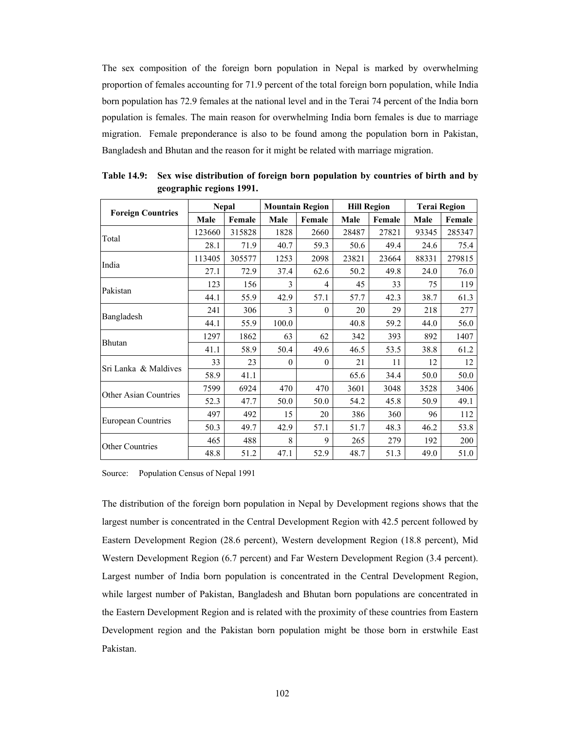The sex composition of the foreign born population in Nepal is marked by overwhelming proportion of females accounting for 71.9 percent of the total foreign born population, while India born population has 72.9 females at the national level and in the Terai 74 percent of the India born population is females. The main reason for overwhelming India born females is due to marriage migration. Female preponderance is also to be found among the population born in Pakistan, Bangladesh and Bhutan and the reason for it might be related with marriage migration.

|                              |        | <b>Nepal</b> |              | <b>Mountain Region</b> | <b>Hill Region</b> |        | <b>Terai Region</b> |        |
|------------------------------|--------|--------------|--------------|------------------------|--------------------|--------|---------------------|--------|
| <b>Foreign Countries</b>     | Male   | Female       | Male         | Female                 | Male               | Female | Male                | Female |
| Total                        | 123660 | 315828       | 1828         | 2660                   | 28487              | 27821  | 93345               | 285347 |
|                              | 28.1   | 71.9         | 40.7         | 59.3                   | 50.6               | 49.4   | 24.6                | 75.4   |
|                              | 113405 | 305577       | 1253         | 2098                   | 23821              | 23664  | 88331               | 279815 |
| India                        | 27.1   | 72.9         | 37.4         | 62.6                   | 50.2               | 49.8   | 24.0                | 76.0   |
|                              | 123    | 156          | 3            | 4                      | 45                 | 33     | 75                  | 119    |
| Pakistan                     | 44.1   | 55.9         | 42.9         | 57.1                   | 57.7               | 42.3   | 38.7                | 61.3   |
|                              | 241    | 306          | 3            | $\theta$               | 20                 | 29     | 218                 | 277    |
| Bangladesh                   | 44.1   | 55.9         | 100.0        |                        | 40.8               | 59.2   | 44.0                | 56.0   |
|                              | 1297   | 1862         | 63           | 62                     | 342                | 393    | 892                 | 1407   |
| Bhutan                       | 41.1   | 58.9         | 50.4         | 49.6                   | 46.5               | 53.5   | 38.8                | 61.2   |
|                              | 33     | 23           | $\mathbf{0}$ | $\theta$               | 21                 | 11     | 12                  | 12     |
| Sri Lanka & Maldives         | 58.9   | 41.1         |              |                        | 65.6               | 34.4   | 50.0                | 50.0   |
|                              | 7599   | 6924         | 470          | 470                    | 3601               | 3048   | 3528                | 3406   |
| <b>Other Asian Countries</b> | 52.3   | 47.7         | 50.0         | 50.0                   | 54.2               | 45.8   | 50.9                | 49.1   |
|                              | 497    | 492          | 15           | 20                     | 386                | 360    | 96                  | 112    |
| <b>European Countries</b>    | 50.3   | 49.7         | 42.9         | 57.1                   | 51.7               | 48.3   | 46.2                | 53.8   |
|                              | 465    | 488          | 8            | 9                      | 265                | 279    | 192                 | 200    |
| <b>Other Countries</b>       | 48.8   | 51.2         | 47.1         | 52.9                   | 48.7               | 51.3   | 49.0                | 51.0   |

**Table 14.9: Sex wise distribution of foreign born population by countries of birth and by geographic regions 1991.** 

Source: Population Census of Nepal 1991

The distribution of the foreign born population in Nepal by Development regions shows that the largest number is concentrated in the Central Development Region with 42.5 percent followed by Eastern Development Region (28.6 percent), Western development Region (18.8 percent), Mid Western Development Region (6.7 percent) and Far Western Development Region (3.4 percent). Largest number of India born population is concentrated in the Central Development Region, while largest number of Pakistan, Bangladesh and Bhutan born populations are concentrated in the Eastern Development Region and is related with the proximity of these countries from Eastern Development region and the Pakistan born population might be those born in erstwhile East Pakistan.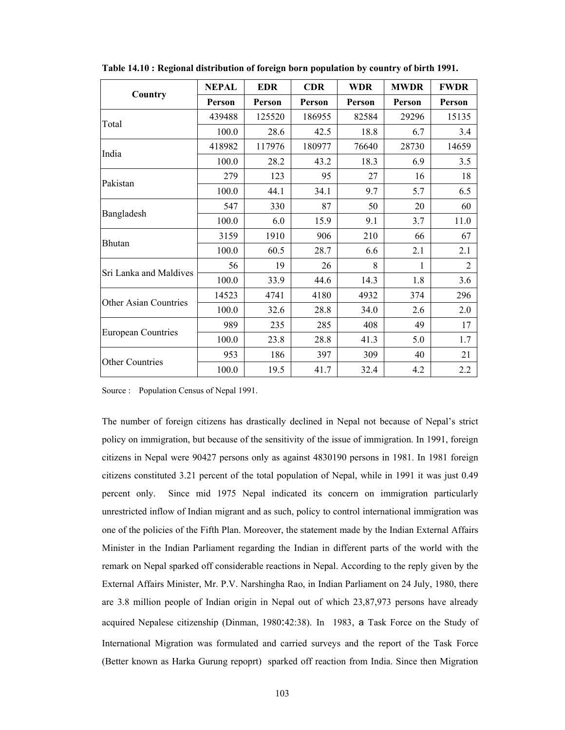|                              | <b>NEPAL</b> | <b>EDR</b> | <b>CDR</b> | <b>WDR</b> | <b>MWDR</b> | <b>FWDR</b>    |
|------------------------------|--------------|------------|------------|------------|-------------|----------------|
| Country                      | Person       | Person     | Person     | Person     | Person      | Person         |
| Total                        | 439488       | 125520     | 186955     | 82584      | 29296       | 15135          |
|                              | 100.0        | 28.6       | 42.5       | 18.8       | 6.7         | 3.4            |
| India                        | 418982       | 117976     | 180977     | 76640      | 28730       | 14659          |
|                              | 100.0        | 28.2       | 43.2       | 18.3       | 6.9         | 3.5            |
| Pakistan                     | 279          | 123        | 95         | 27         | 16          | 18             |
|                              | 100.0        | 44.1       | 34.1       | 9.7        | 5.7         | 6.5            |
|                              | 547          | 330        | 87         | 50         | 20          | 60             |
| Bangladesh                   | 100.0        | 6.0        | 15.9       | 9.1        | 3.7         | 11.0           |
| Bhutan                       | 3159         | 1910       | 906        | 210        | 66          | 67             |
|                              | 100.0        | 60.5       | 28.7       | 6.6        | 2.1         | 2.1            |
| Sri Lanka and Maldives       | 56           | 19         | 26         | 8          | 1           | $\overline{2}$ |
|                              | 100.0        | 33.9       | 44.6       | 14.3       | 1.8         | 3.6            |
| <b>Other Asian Countries</b> | 14523        | 4741       | 4180       | 4932       | 374         | 296            |
|                              | 100.0        | 32.6       | 28.8       | 34.0       | 2.6         | 2.0            |
|                              | 989          | 235        | 285        | 408        | 49          | 17             |
| <b>European Countries</b>    | 100.0        | 23.8       | 28.8       | 41.3       | 5.0         | 1.7            |
|                              | 953          | 186        | 397        | 309        | 40          | 21             |
| <b>Other Countries</b>       | 100.0        | 19.5       | 41.7       | 32.4       | 4.2         | 2.2            |

**Table 14.10 : Regional distribution of foreign born population by country of birth 1991.** 

Source : Population Census of Nepal 1991.

The number of foreign citizens has drastically declined in Nepal not because of Nepal's strict policy on immigration, but because of the sensitivity of the issue of immigration. In 1991, foreign citizens in Nepal were 90427 persons only as against 4830190 persons in 1981. In 1981 foreign citizens constituted 3.21 percent of the total population of Nepal, while in 1991 it was just 0.49 percent only. Since mid 1975 Nepal indicated its concern on immigration particularly unrestricted inflow of Indian migrant and as such, policy to control international immigration was one of the policies of the Fifth Plan. Moreover, the statement made by the Indian External Affairs Minister in the Indian Parliament regarding the Indian in different parts of the world with the remark on Nepal sparked off considerable reactions in Nepal. According to the reply given by the External Affairs Minister, Mr. P.V. Narshingha Rao, in Indian Parliament on 24 July, 1980, there are 3.8 million people of Indian origin in Nepal out of which 23,87,973 persons have already acquired Nepalese citizenship (Dinman, 1980:42:38). In 1983, a Task Force on the Study of International Migration was formulated and carried surveys and the report of the Task Force (Better known as Harka Gurung repoprt) sparked off reaction from India. Since then Migration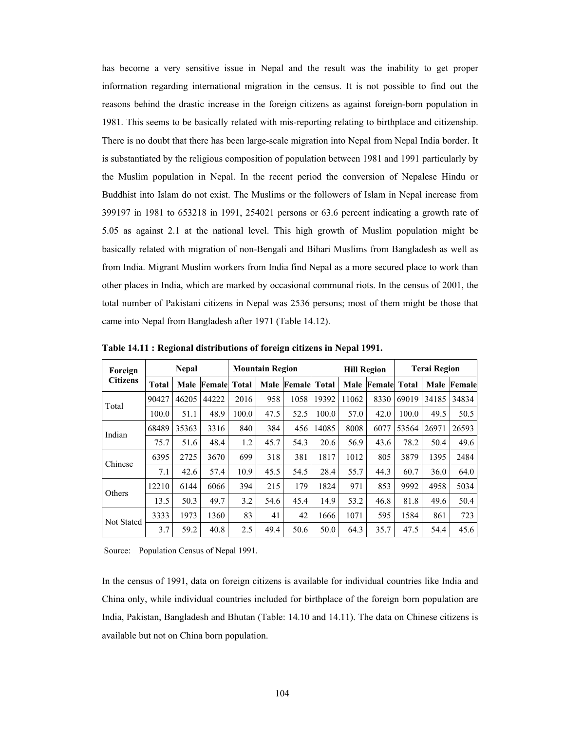has become a very sensitive issue in Nepal and the result was the inability to get proper information regarding international migration in the census. It is not possible to find out the reasons behind the drastic increase in the foreign citizens as against foreign-born population in 1981. This seems to be basically related with mis-reporting relating to birthplace and citizenship. There is no doubt that there has been large-scale migration into Nepal from Nepal India border. It is substantiated by the religious composition of population between 1981 and 1991 particularly by the Muslim population in Nepal. In the recent period the conversion of Nepalese Hindu or Buddhist into Islam do not exist. The Muslims or the followers of Islam in Nepal increase from 399197 in 1981 to 653218 in 1991, 254021 persons or 63.6 percent indicating a growth rate of 5.05 as against 2.1 at the national level. This high growth of Muslim population might be basically related with migration of non-Bengali and Bihari Muslims from Bangladesh as well as from India. Migrant Muslim workers from India find Nepal as a more secured place to work than other places in India, which are marked by occasional communal riots. In the census of 2001, the total number of Pakistani citizens in Nepal was 2536 persons; most of them might be those that came into Nepal from Bangladesh after 1971 (Table 14.12).

| Foreign         |              | <b>Nepal</b> |                    |              | <b>Mountain Region</b> |                    | <b>Hill Region</b> |       |                   | <b>Terai Region</b> |       |                    |
|-----------------|--------------|--------------|--------------------|--------------|------------------------|--------------------|--------------------|-------|-------------------|---------------------|-------|--------------------|
| <b>Citizens</b> | <b>Total</b> |              | <b>Male Female</b> | <b>Total</b> |                        | <b>Male Female</b> | Total              |       | Male Female Total |                     |       | <b>Male Female</b> |
| Total           | 90427        | 46205        | 44222              | 2016         | 958                    | 1058               | 19392              | 11062 | 8330              | 69019               | 34185 | 34834              |
|                 | 100.0        | 51.1         | 48.9               | 100.0        | 47.5                   | 52.5               | 100.0              | 57.0  | 42.0              | 100.0               | 49.5  | 50.5               |
| Indian          | 68489        | 35363        | 3316               | 840          | 384                    | 456                | 14085              | 8008  | 6077              | 53564               | 26971 | 26593              |
|                 | 75.7         | 51.6         | 48.4               | 1.2          | 45.7                   | 54.3               | 20.6               | 56.9  | 43.6              | 78.2                | 50.4  | 49.6               |
| Chinese         | 6395         | 2725         | 3670               | 699          | 318                    | 381                | 1817               | 1012  | 805               | 3879                | 1395  | 2484               |
|                 | 7.1          | 42.6         | 57.4               | 10.9         | 45.5                   | 54.5               | 28.4               | 55.7  | 44.3              | 60.7                | 36.0  | 64.0               |
| Others          | 12210        | 6144         | 6066               | 394          | 215                    | 179                | 1824               | 971   | 853               | 9992                | 4958  | 5034               |
|                 | 13.5         | 50.3         | 49.7               | 3.2          | 54.6                   | 45.4               | 14.9               | 53.2  | 46.8              | 81.8                | 49.6  | 50.4               |
| Not Stated      | 3333         | 1973         | 1360               | 83           | 41                     | 42                 | 1666               | 1071  | 595               | 1584                | 861   | 723                |
|                 | 3.7          | 59.2         | 40.8               | 2.5          | 49.4                   | 50.6               | 50.0               | 64.3  | 35.7              | 47.5                | 54.4  | 45.6               |

**Table 14.11 : Regional distributions of foreign citizens in Nepal 1991.** 

Source: Population Census of Nepal 1991.

In the census of 1991, data on foreign citizens is available for individual countries like India and China only, while individual countries included for birthplace of the foreign born population are India, Pakistan, Bangladesh and Bhutan (Table: 14.10 and 14.11). The data on Chinese citizens is available but not on China born population.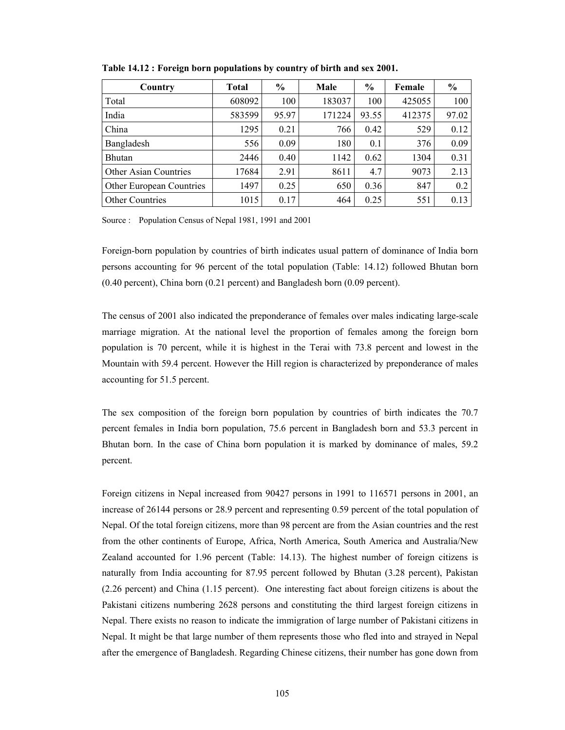| Country                         | <b>Total</b> | $\frac{6}{9}$ | Male   | $\%$  | Female | $\frac{0}{0}$ |
|---------------------------------|--------------|---------------|--------|-------|--------|---------------|
| Total                           | 608092       | 100           | 183037 | 100   | 425055 | 100           |
| India                           | 583599       | 95.97         | 171224 | 93.55 | 412375 | 97.02         |
| China                           | 1295         | 0.21          | 766    | 0.42  | 529    | 0.12          |
| Bangladesh                      | 556          | 0.09          | 180    | 0.1   | 376    | 0.09          |
| <b>Bhutan</b>                   | 2446         | 0.40          | 1142   | 0.62  | 1304   | 0.31          |
| Other Asian Countries           | 17684        | 2.91          | 8611   | 4.7   | 9073   | 2.13          |
| <b>Other European Countries</b> | 1497         | 0.25          | 650    | 0.36  | 847    | 0.2           |
| <b>Other Countries</b>          | 1015         | 0.17          | 464    | 0.25  | 551    | 0.13          |

**Table 14.12 : Foreign born populations by country of birth and sex 2001.** 

Source : Population Census of Nepal 1981, 1991 and 2001

Foreign-born population by countries of birth indicates usual pattern of dominance of India born persons accounting for 96 percent of the total population (Table: 14.12) followed Bhutan born (0.40 percent), China born (0.21 percent) and Bangladesh born (0.09 percent).

The census of 2001 also indicated the preponderance of females over males indicating large-scale marriage migration. At the national level the proportion of females among the foreign born population is 70 percent, while it is highest in the Terai with 73.8 percent and lowest in the Mountain with 59.4 percent. However the Hill region is characterized by preponderance of males accounting for 51.5 percent.

The sex composition of the foreign born population by countries of birth indicates the 70.7 percent females in India born population, 75.6 percent in Bangladesh born and 53.3 percent in Bhutan born. In the case of China born population it is marked by dominance of males, 59.2 percent.

Foreign citizens in Nepal increased from 90427 persons in 1991 to 116571 persons in 2001, an increase of 26144 persons or 28.9 percent and representing 0.59 percent of the total population of Nepal. Of the total foreign citizens, more than 98 percent are from the Asian countries and the rest from the other continents of Europe, Africa, North America, South America and Australia/New Zealand accounted for 1.96 percent (Table: 14.13). The highest number of foreign citizens is naturally from India accounting for 87.95 percent followed by Bhutan (3.28 percent), Pakistan (2.26 percent) and China (1.15 percent). One interesting fact about foreign citizens is about the Pakistani citizens numbering 2628 persons and constituting the third largest foreign citizens in Nepal. There exists no reason to indicate the immigration of large number of Pakistani citizens in Nepal. It might be that large number of them represents those who fled into and strayed in Nepal after the emergence of Bangladesh. Regarding Chinese citizens, their number has gone down from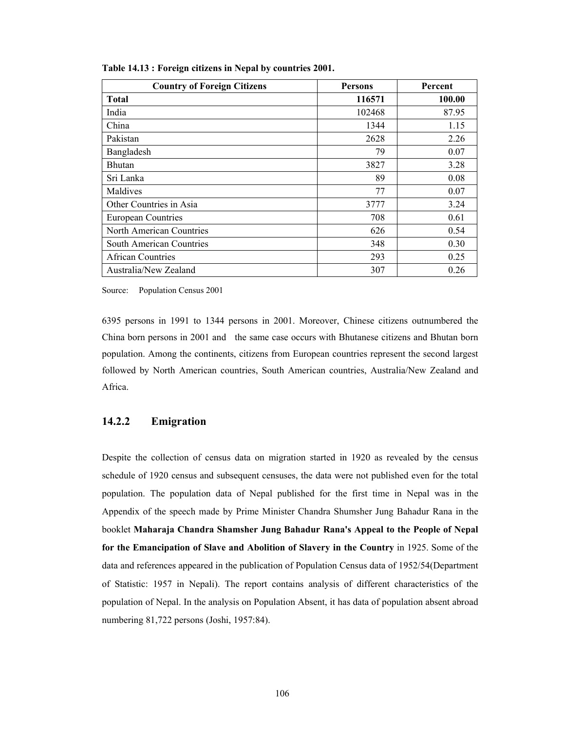| <b>Country of Foreign Citizens</b> | <b>Persons</b> | Percent |  |
|------------------------------------|----------------|---------|--|
| <b>Total</b>                       | 116571         | 100.00  |  |
| India                              | 102468         | 87.95   |  |
| China                              | 1344           | 1.15    |  |
| Pakistan                           | 2628           | 2.26    |  |
| Bangladesh                         | 79             | 0.07    |  |
| <b>Bhutan</b>                      | 3827           | 3.28    |  |
| Sri Lanka                          | 89             | 0.08    |  |
| Maldives                           | 77             | 0.07    |  |
| Other Countries in Asia            | 3777           | 3.24    |  |
| <b>European Countries</b>          | 708            | 0.61    |  |
| North American Countries           | 626            | 0.54    |  |
| South American Countries           | 348            | 0.30    |  |
| <b>African Countries</b>           | 293            | 0.25    |  |
| Australia/New Zealand              | 307            | 0.26    |  |

**Table 14.13 : Foreign citizens in Nepal by countries 2001.** 

Source: Population Census 2001

6395 persons in 1991 to 1344 persons in 2001. Moreover, Chinese citizens outnumbered the China born persons in 2001 and the same case occurs with Bhutanese citizens and Bhutan born population. Among the continents, citizens from European countries represent the second largest followed by North American countries, South American countries, Australia/New Zealand and Africa.

#### **14.2.2 Emigration**

Despite the collection of census data on migration started in 1920 as revealed by the census schedule of 1920 census and subsequent censuses, the data were not published even for the total population. The population data of Nepal published for the first time in Nepal was in the Appendix of the speech made by Prime Minister Chandra Shumsher Jung Bahadur Rana in the booklet **Maharaja Chandra Shamsher Jung Bahadur Rana's Appeal to the People of Nepal for the Emancipation of Slave and Abolition of Slavery in the Country** in 1925. Some of the data and references appeared in the publication of Population Census data of 1952/54(Department of Statistic: 1957 in Nepali). The report contains analysis of different characteristics of the population of Nepal. In the analysis on Population Absent, it has data of population absent abroad numbering 81,722 persons (Joshi, 1957:84).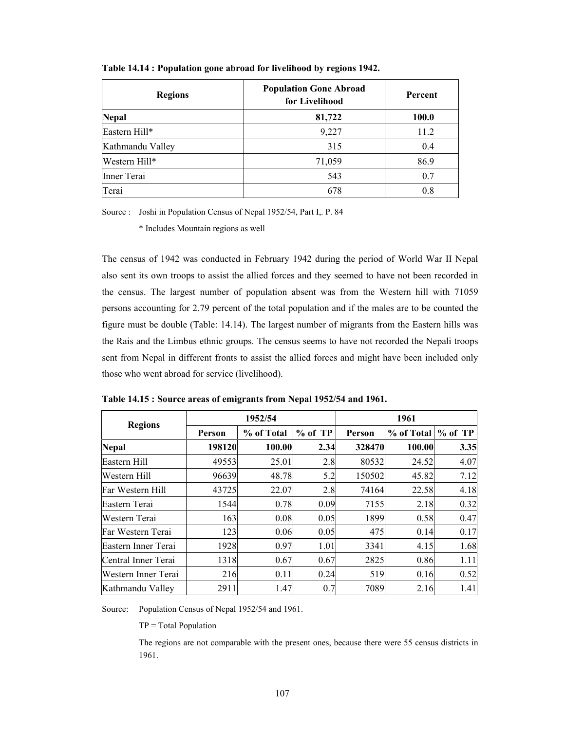| <b>Regions</b>   | <b>Population Gone Abroad</b><br>for Livelihood | Percent      |
|------------------|-------------------------------------------------|--------------|
| <b>Nepal</b>     | 81,722                                          | <b>100.0</b> |
| Eastern Hill*    | 9,227                                           | 11.2         |
| Kathmandu Valley | 315                                             | 0.4          |
| Western Hill*    | 71,059                                          | 86.9         |
| Inner Terai      | 543                                             | 0.7          |
| Terai            | 678                                             | 0.8          |

**Table 14.14 : Population gone abroad for livelihood by regions 1942.** 

Source : Joshi in Population Census of Nepal 1952/54, Part I,. P. 84

\* Includes Mountain regions as well

The census of 1942 was conducted in February 1942 during the period of World War II Nepal also sent its own troops to assist the allied forces and they seemed to have not been recorded in the census. The largest number of population absent was from the Western hill with 71059 persons accounting for 2.79 percent of the total population and if the males are to be counted the figure must be double (Table: 14.14). The largest number of migrants from the Eastern hills was the Rais and the Limbus ethnic groups. The census seems to have not recorded the Nepali troops sent from Nepal in different fronts to assist the allied forces and might have been included only those who went abroad for service (livelihood).

|                     |        | 1952/54    |           | 1961   |            |           |  |  |
|---------------------|--------|------------|-----------|--------|------------|-----------|--|--|
| <b>Regions</b>      | Person | % of Total | $%$ of TP | Person | % of Total | $%$ of TP |  |  |
| <b>Nepal</b>        | 198120 | 100.00     | 2.34      | 328470 | 100.00     | 3.35      |  |  |
| Eastern Hill        | 49553  | 25.01      | 2.8       | 80532  | 24.52      | 4.07      |  |  |
| Western Hill        | 96639  | 48.78      | 5.2       | 150502 | 45.82      | 7.12      |  |  |
| Far Western Hill    | 43725  | 22.07      | 2.8       | 74164  | 22.58      | 4.18      |  |  |
| Eastern Terai       | 1544   | 0.78       | 0.09      | 7155   | 2.18       | 0.32      |  |  |
| Western Terai       | 163    | 0.08       | 0.05      | 1899   | 0.58       | 0.47      |  |  |
| Far Western Terai   | 123    | 0.06       | 0.05      | 475    | 0.14       | 0.17      |  |  |
| Eastern Inner Terai | 1928   | 0.97       | 1.01      | 3341   | 4.15       | 1.68      |  |  |
| Central Inner Terai | 1318   | 0.67       | 0.67      | 2825   | 0.86       | 1.11      |  |  |
| Western Inner Terai | 216    | 0.11       | 0.24      | 519    | 0.16       | 0.52      |  |  |
| Kathmandu Valley    | 2911   | 1.47       | 0.7       | 7089   | 2.16       | 1.41      |  |  |

**Table 14.15 : Source areas of emigrants from Nepal 1952/54 and 1961.** 

Source: Population Census of Nepal 1952/54 and 1961.

TP = Total Population

 The regions are not comparable with the present ones, because there were 55 census districts in 1961.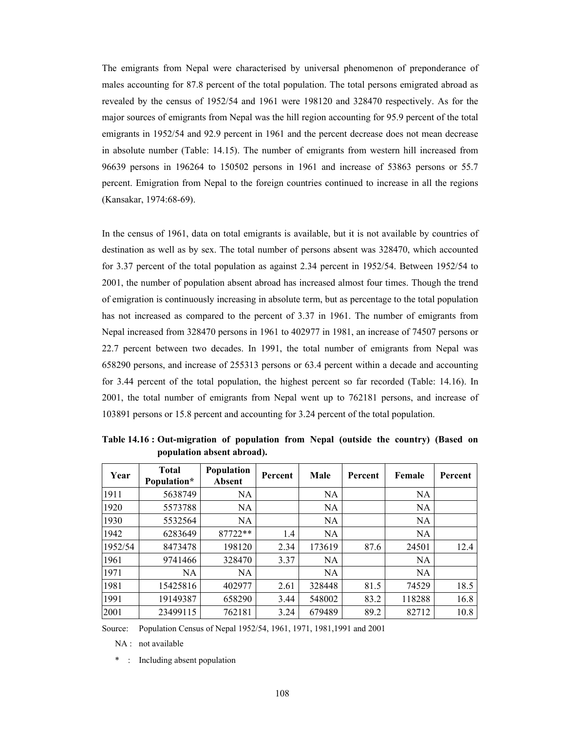The emigrants from Nepal were characterised by universal phenomenon of preponderance of males accounting for 87.8 percent of the total population. The total persons emigrated abroad as revealed by the census of 1952/54 and 1961 were 198120 and 328470 respectively. As for the major sources of emigrants from Nepal was the hill region accounting for 95.9 percent of the total emigrants in 1952/54 and 92.9 percent in 1961 and the percent decrease does not mean decrease in absolute number (Table: 14.15). The number of emigrants from western hill increased from 96639 persons in 196264 to 150502 persons in 1961 and increase of 53863 persons or 55.7 percent. Emigration from Nepal to the foreign countries continued to increase in all the regions (Kansakar, 1974:68-69).

In the census of 1961, data on total emigrants is available, but it is not available by countries of destination as well as by sex. The total number of persons absent was 328470, which accounted for 3.37 percent of the total population as against 2.34 percent in 1952/54. Between 1952/54 to 2001, the number of population absent abroad has increased almost four times. Though the trend of emigration is continuously increasing in absolute term, but as percentage to the total population has not increased as compared to the percent of 3.37 in 1961. The number of emigrants from Nepal increased from 328470 persons in 1961 to 402977 in 1981, an increase of 74507 persons or 22.7 percent between two decades. In 1991, the total number of emigrants from Nepal was 658290 persons, and increase of 255313 persons or 63.4 percent within a decade and accounting for 3.44 percent of the total population, the highest percent so far recorded (Table: 14.16). In 2001, the total number of emigrants from Nepal went up to 762181 persons, and increase of 103891 persons or 15.8 percent and accounting for 3.24 percent of the total population.

| Year    | <b>Total</b><br>Population* | Population<br>Absent | Percent | Male      | Percent | Female | Percent |
|---------|-----------------------------|----------------------|---------|-----------|---------|--------|---------|
| 1911    | 5638749                     | NA                   |         | <b>NA</b> |         | NA     |         |
| 1920    | 5573788                     | NA                   |         | <b>NA</b> |         | NA     |         |
| 1930    | 5532564                     | <b>NA</b>            |         | <b>NA</b> |         | NA     |         |
| 1942    | 6283649                     | 87722**              | 1.4     | <b>NA</b> |         | NA     |         |
| 1952/54 | 8473478                     | 198120               | 2.34    | 173619    | 87.6    | 24501  | 12.4    |
| 1961    | 9741466                     | 328470               | 3.37    | <b>NA</b> |         | NA     |         |
| 1971    | NA                          | NA                   |         | <b>NA</b> |         | NA     |         |
| 1981    | 15425816                    | 402977               | 2.61    | 328448    | 81.5    | 74529  | 18.5    |
| 1991    | 19149387                    | 658290               | 3.44    | 548002    | 83.2    | 118288 | 16.8    |
| 2001    | 23499115                    | 762181               | 3.24    | 679489    | 89.2    | 82712  | 10.8    |

**Table 14.16 : Out-migration of population from Nepal (outside the country) (Based on population absent abroad).** 

Source: Population Census of Nepal 1952/54, 1961, 1971, 1981,1991 and 2001

NA : not available

\* : Including absent population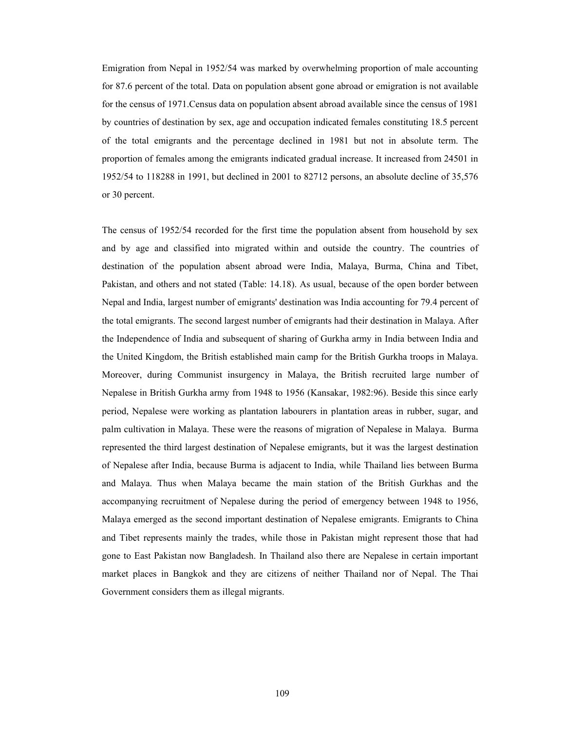Emigration from Nepal in 1952/54 was marked by overwhelming proportion of male accounting for 87.6 percent of the total. Data on population absent gone abroad or emigration is not available for the census of 1971.Census data on population absent abroad available since the census of 1981 by countries of destination by sex, age and occupation indicated females constituting 18.5 percent of the total emigrants and the percentage declined in 1981 but not in absolute term. The proportion of females among the emigrants indicated gradual increase. It increased from 24501 in 1952/54 to 118288 in 1991, but declined in 2001 to 82712 persons, an absolute decline of 35,576 or 30 percent.

The census of 1952/54 recorded for the first time the population absent from household by sex and by age and classified into migrated within and outside the country. The countries of destination of the population absent abroad were India, Malaya, Burma, China and Tibet, Pakistan, and others and not stated (Table: 14.18). As usual, because of the open border between Nepal and India, largest number of emigrants' destination was India accounting for 79.4 percent of the total emigrants. The second largest number of emigrants had their destination in Malaya. After the Independence of India and subsequent of sharing of Gurkha army in India between India and the United Kingdom, the British established main camp for the British Gurkha troops in Malaya. Moreover, during Communist insurgency in Malaya, the British recruited large number of Nepalese in British Gurkha army from 1948 to 1956 (Kansakar, 1982:96). Beside this since early period, Nepalese were working as plantation labourers in plantation areas in rubber, sugar, and palm cultivation in Malaya. These were the reasons of migration of Nepalese in Malaya. Burma represented the third largest destination of Nepalese emigrants, but it was the largest destination of Nepalese after India, because Burma is adjacent to India, while Thailand lies between Burma and Malaya. Thus when Malaya became the main station of the British Gurkhas and the accompanying recruitment of Nepalese during the period of emergency between 1948 to 1956, Malaya emerged as the second important destination of Nepalese emigrants. Emigrants to China and Tibet represents mainly the trades, while those in Pakistan might represent those that had gone to East Pakistan now Bangladesh. In Thailand also there are Nepalese in certain important market places in Bangkok and they are citizens of neither Thailand nor of Nepal. The Thai Government considers them as illegal migrants.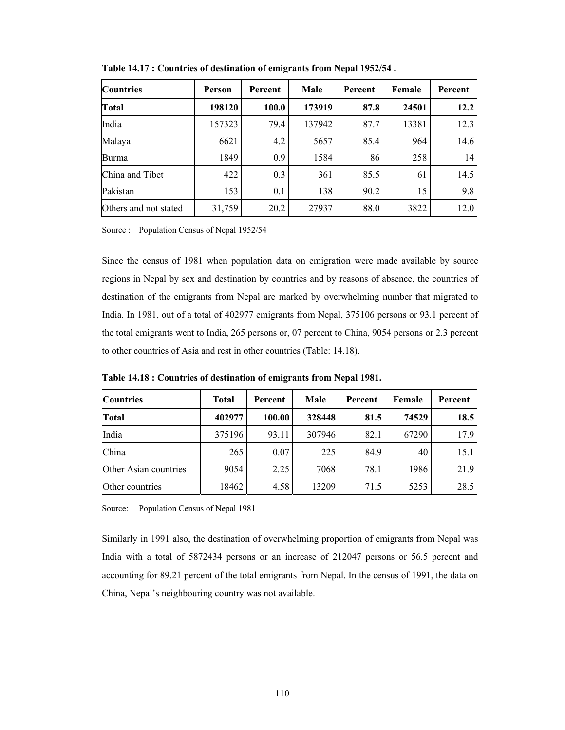| <b>Countries</b>      | <b>Person</b> | Percent | Male   | Percent | Female | Percent |
|-----------------------|---------------|---------|--------|---------|--------|---------|
| <b>Total</b>          | 198120        | 100.0   | 173919 | 87.8    | 24501  | 12.2    |
| India                 | 157323        | 79.4    | 137942 | 87.7    | 13381  | 12.3    |
| Malaya                | 6621          | 4.2     | 5657   | 85.4    | 964    | 14.6    |
| Burma                 | 1849          | 0.9     | 1584   | 86      | 258    | 14      |
| China and Tibet       | 422           | 0.3     | 361    | 85.5    | 61     | 14.5    |
| Pakistan              | 153           | 0.1     | 138    | 90.2    | 15     | 9.8     |
| Others and not stated | 31,759        | 20.2    | 27937  | 88.0    | 3822   | 12.0    |

**Table 14.17 : Countries of destination of emigrants from Nepal 1952/54 .** 

Source : Population Census of Nepal 1952/54

Since the census of 1981 when population data on emigration were made available by source regions in Nepal by sex and destination by countries and by reasons of absence, the countries of destination of the emigrants from Nepal are marked by overwhelming number that migrated to India. In 1981, out of a total of 402977 emigrants from Nepal, 375106 persons or 93.1 percent of the total emigrants went to India, 265 persons or, 07 percent to China, 9054 persons or 2.3 percent to other countries of Asia and rest in other countries (Table: 14.18).

| <b>Countries</b>      | <b>Total</b> | Percent | Male   |      | Female | Percent |  |
|-----------------------|--------------|---------|--------|------|--------|---------|--|
| Total                 | 402977       | 100.00  | 328448 | 81.5 | 74529  | 18.5    |  |
| India                 | 375196       | 93.11   | 307946 | 82.1 | 67290  | 17.9    |  |
| China                 | 265          | 0.07    | 225    | 84.9 | 40     | 15.1    |  |
| Other Asian countries | 9054         | 2.25    | 7068   | 78.1 | 1986   | 21.9    |  |
| Other countries       | 18462        | 4.58    | 13209  | 71.5 | 5253   | 28.5    |  |

**Table 14.18 : Countries of destination of emigrants from Nepal 1981.** 

Source: Population Census of Nepal 1981

Similarly in 1991 also, the destination of overwhelming proportion of emigrants from Nepal was India with a total of 5872434 persons or an increase of 212047 persons or 56.5 percent and accounting for 89.21 percent of the total emigrants from Nepal. In the census of 1991, the data on China, Nepal's neighbouring country was not available.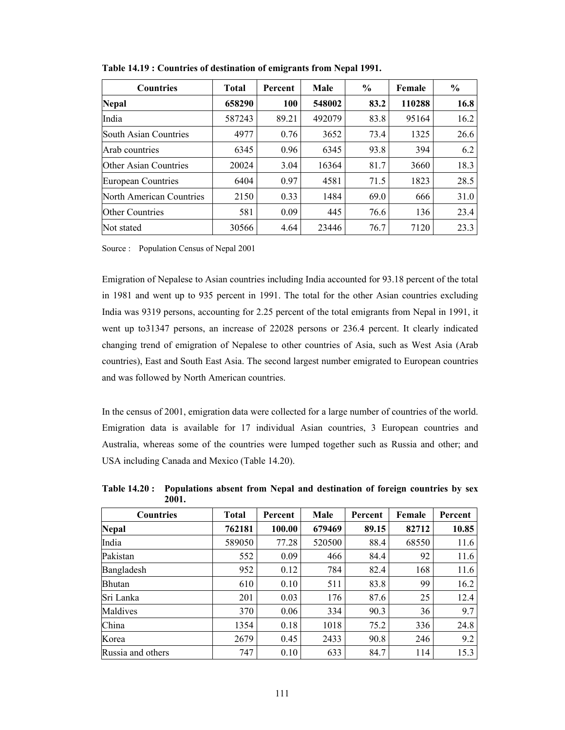| <b>Countries</b>         | <b>Total</b> | Percent | Male   | $\frac{6}{9}$ | Female | $\frac{6}{9}$ |
|--------------------------|--------------|---------|--------|---------------|--------|---------------|
| <b>Nepal</b>             | 658290       | 100     | 548002 | 83.2          | 110288 | 16.8          |
| India                    | 587243       | 89.21   | 492079 | 83.8          | 95164  | 16.2          |
| South Asian Countries    | 4977         | 0.76    | 3652   | 73.4          | 1325   | 26.6          |
| Arab countries           | 6345         | 0.96    | 6345   | 93.8          | 394    | 6.2           |
| Other Asian Countries    | 20024        | 3.04    | 16364  | 81.7          | 3660   | 18.3          |
| European Countries       | 6404         | 0.97    | 4581   | 71.5          | 1823   | 28.5          |
| North American Countries | 2150         | 0.33    | 1484   | 69.0          | 666    | 31.0          |
| <b>Other Countries</b>   | 581          | 0.09    | 445    | 76.6          | 136    | 23.4          |
| Not stated               | 30566        | 4.64    | 23446  | 76.7          | 7120   | 23.3          |

**Table 14.19 : Countries of destination of emigrants from Nepal 1991.** 

Source : Population Census of Nepal 2001

Emigration of Nepalese to Asian countries including India accounted for 93.18 percent of the total in 1981 and went up to 935 percent in 1991. The total for the other Asian countries excluding India was 9319 persons, accounting for 2.25 percent of the total emigrants from Nepal in 1991, it went up to31347 persons, an increase of 22028 persons or 236.4 percent. It clearly indicated changing trend of emigration of Nepalese to other countries of Asia, such as West Asia (Arab countries), East and South East Asia. The second largest number emigrated to European countries and was followed by North American countries.

In the census of 2001, emigration data were collected for a large number of countries of the world. Emigration data is available for 17 individual Asian countries, 3 European countries and Australia, whereas some of the countries were lumped together such as Russia and other; and USA including Canada and Mexico (Table 14.20).

| <b>Countries</b>  | <b>Total</b> | Percent | Male   | Percent | Female | Percent |
|-------------------|--------------|---------|--------|---------|--------|---------|
| <b>Nepal</b>      | 762181       | 100.00  | 679469 | 89.15   | 82712  | 10.85   |
| India             | 589050       | 77.28   | 520500 | 88.4    | 68550  | 11.6    |
| Pakistan          | 552          | 0.09    | 466    | 84.4    | 92     | 11.6    |
| Bangladesh        | 952          | 0.12    | 784    | 82.4    | 168    | 11.6    |
| <b>Bhutan</b>     | 610          | 0.10    | 511    | 83.8    | 99     | 16.2    |
| Sri Lanka         | 201          | 0.03    | 176    | 87.6    | 25     | 12.4    |
| Maldives          | 370          | 0.06    | 334    | 90.3    | 36     | 9.7     |
| China             | 1354         | 0.18    | 1018   | 75.2    | 336    | 24.8    |
| Korea             | 2679         | 0.45    | 2433   | 90.8    | 246    | 9.2     |
| Russia and others | 747          | 0.10    | 633    | 84.7    | 114    | 15.3    |

**Table 14.20 : Populations absent from Nepal and destination of foreign countries by sex 2001.**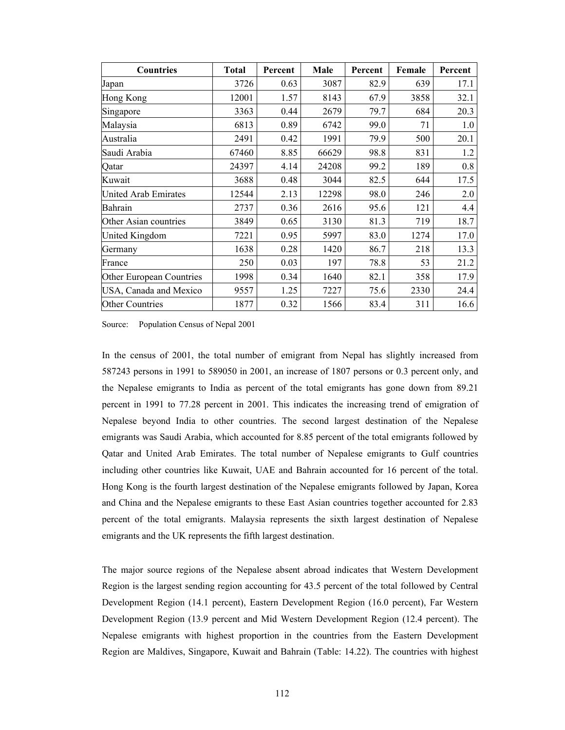| <b>Countries</b>            | <b>Total</b> | Percent | Male  | Percent | Female | Percent |
|-----------------------------|--------------|---------|-------|---------|--------|---------|
| Japan                       | 3726         | 0.63    | 3087  | 82.9    | 639    | 17.1    |
| Hong Kong                   | 12001        | 1.57    | 8143  | 67.9    | 3858   | 32.1    |
| Singapore                   | 3363         | 0.44    | 2679  | 79.7    | 684    | 20.3    |
| Malaysia                    | 6813         | 0.89    | 6742  | 99.0    | 71     | 1.0     |
| Australia                   | 2491         | 0.42    | 1991  | 79.9    | 500    | 20.1    |
| Saudi Arabia                | 67460        | 8.85    | 66629 | 98.8    | 831    | 1.2     |
| Qatar                       | 24397        | 4.14    | 24208 | 99.2    | 189    | 0.8     |
| Kuwait                      | 3688         | 0.48    | 3044  | 82.5    | 644    | 17.5    |
| <b>United Arab Emirates</b> | 12544        | 2.13    | 12298 | 98.0    | 246    | 2.0     |
| Bahrain                     | 2737         | 0.36    | 2616  | 95.6    | 121    | 4.4     |
| Other Asian countries       | 3849         | 0.65    | 3130  | 81.3    | 719    | 18.7    |
| <b>United Kingdom</b>       | 7221         | 0.95    | 5997  | 83.0    | 1274   | 17.0    |
| Germany                     | 1638         | 0.28    | 1420  | 86.7    | 218    | 13.3    |
| France                      | 250          | 0.03    | 197   | 78.8    | 53     | 21.2    |
| Other European Countries    | 1998         | 0.34    | 1640  | 82.1    | 358    | 17.9    |
| USA, Canada and Mexico      | 9557         | 1.25    | 7227  | 75.6    | 2330   | 24.4    |
| <b>Other Countries</b>      | 1877         | 0.32    | 1566  | 83.4    | 311    | 16.6    |

Source: Population Census of Nepal 2001

In the census of 2001, the total number of emigrant from Nepal has slightly increased from 587243 persons in 1991 to 589050 in 2001, an increase of 1807 persons or 0.3 percent only, and the Nepalese emigrants to India as percent of the total emigrants has gone down from 89.21 percent in 1991 to 77.28 percent in 2001. This indicates the increasing trend of emigration of Nepalese beyond India to other countries. The second largest destination of the Nepalese emigrants was Saudi Arabia, which accounted for 8.85 percent of the total emigrants followed by Qatar and United Arab Emirates. The total number of Nepalese emigrants to Gulf countries including other countries like Kuwait, UAE and Bahrain accounted for 16 percent of the total. Hong Kong is the fourth largest destination of the Nepalese emigrants followed by Japan, Korea and China and the Nepalese emigrants to these East Asian countries together accounted for 2.83 percent of the total emigrants. Malaysia represents the sixth largest destination of Nepalese emigrants and the UK represents the fifth largest destination.

The major source regions of the Nepalese absent abroad indicates that Western Development Region is the largest sending region accounting for 43.5 percent of the total followed by Central Development Region (14.1 percent), Eastern Development Region (16.0 percent), Far Western Development Region (13.9 percent and Mid Western Development Region (12.4 percent). The Nepalese emigrants with highest proportion in the countries from the Eastern Development Region are Maldives, Singapore, Kuwait and Bahrain (Table: 14.22). The countries with highest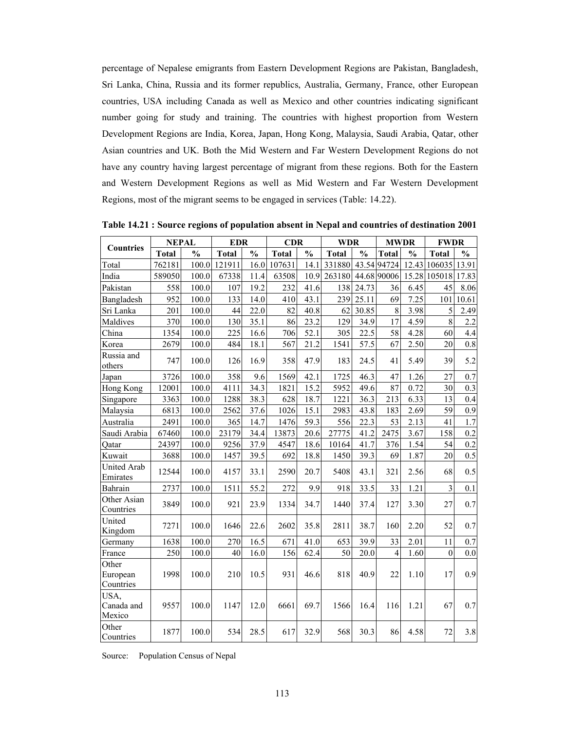percentage of Nepalese emigrants from Eastern Development Regions are Pakistan, Bangladesh, Sri Lanka, China, Russia and its former republics, Australia, Germany, France, other European countries, USA including Canada as well as Mexico and other countries indicating significant number going for study and training. The countries with highest proportion from Western Development Regions are India, Korea, Japan, Hong Kong, Malaysia, Saudi Arabia, Qatar, other Asian countries and UK. Both the Mid Western and Far Western Development Regions do not have any country having largest percentage of migrant from these regions. Both for the Eastern and Western Development Regions as well as Mid Western and Far Western Development Regions, most of the migrant seems to be engaged in services (Table: 14.22).

| <b>Countries</b>               | <b>NEPAL</b> |               | <b>EDR</b>   |               | <b>CDR</b>   |               | <b>WDR</b>   |               | <b>MWDR</b>  |               | <b>FWDR</b>    |               |
|--------------------------------|--------------|---------------|--------------|---------------|--------------|---------------|--------------|---------------|--------------|---------------|----------------|---------------|
|                                | <b>Total</b> | $\frac{0}{0}$ | <b>Total</b> | $\frac{0}{0}$ | <b>Total</b> | $\frac{0}{0}$ | <b>Total</b> | $\frac{0}{0}$ | <b>Total</b> | $\frac{0}{0}$ | <b>Total</b>   | $\frac{6}{6}$ |
| Total                          | 762181       | 100.0         | 121911       | 16.0          | 107631       | 14.1          | 331880       |               | 43.54 94724  |               | 12.43 106035   | 13.91         |
| India                          | 589050       | 100.0         | 67338        | 11.4          | 63508        | 10.9          | 263180       |               | 44.68 90006  |               | 15.28 105018   | 17.83         |
| Pakistan                       | 558          | 100.0         | 107          | 19.2          | 232          | 41.6          | 138          | 24.73         | 36           | 6.45          | 45             | 8.06          |
| Bangladesh                     | 952          | 100.0         | 133          | 14.0          | 410          | 43.1          | 239          | 25.11         | 69           | 7.25          | 101            | 10.61         |
| Sri Lanka                      | 201          | 100.0         | 44           | 22.0          | 82           | 40.8          | 62           | 30.85         | $8\,$        | 3.98          | 5              | 2.49          |
| Maldives                       | 370          | 100.0         | 130          | 35.1          | 86           | 23.2          | 129          | 34.9          | 17           | 4.59          | 8              | 2.2           |
| China                          | 1354         | 100.0         | 225          | 16.6          | 706          | 52.1          | 305          | 22.5          | 58           | 4.28          | 60             | 4.4           |
| Korea                          | 2679         | 100.0         | 484          | 18.1          | 567          | 21.2          | 1541         | 57.5          | 67           | 2.50          | 20             | $0.8\,$       |
| Russia and<br>others           | 747          | 100.0         | 126          | 16.9          | 358          | 47.9          | 183          | 24.5          | 41           | 5.49          | 39             | 5.2           |
| Japan                          | 3726         | 100.0         | 358          | 9.6           | 1569         | 42.1          | 1725         | 46.3          | 47           | 1.26          | 27             | 0.7           |
| Hong Kong                      | 12001        | 100.0         | 4111         | 34.3          | 1821         | 15.2          | 5952         | 49.6          | 87           | 0.72          | 30             | 0.3           |
| Singapore                      | 3363         | 100.0         | 1288         | 38.3          | 628          | 18.7          | 1221         | 36.3          | 213          | 6.33          | 13             | 0.4           |
| Malaysia                       | 6813         | 100.0         | 2562         | 37.6          | 1026         | 15.1          | 2983         | 43.8          | 183          | 2.69          | 59             | 0.9           |
| Australia                      | 2491         | 100.0         | 365          | 14.7          | 1476         | 59.3          | 556          | 22.3          | 53           | 2.13          | 41             | 1.7           |
| Saudi Arabia                   | 67460        | 100.0         | 23179        | 34.4          | 13873        | 20.6          | 27775        | 41.2          | 2475         | 3.67          | 158            | 0.2           |
| Qatar                          | 24397        | 100.0         | 9256         | 37.9          | 4547         | 18.6          | 10164        | 41.7          | 376          | 1.54          | 54             | 0.2           |
| Kuwait                         | 3688         | 100.0         | 1457         | 39.5          | 692          | 18.8          | 1450         | 39.3          | 69           | 1.87          | 20             | 0.5           |
| <b>United Arab</b><br>Emirates | 12544        | 100.0         | 4157         | 33.1          | 2590         | 20.7          | 5408         | 43.1          | 321          | 2.56          | 68             | 0.5           |
| Bahrain                        | 2737         | 100.0         | 1511         | 55.2          | 272          | 9.9           | 918          | 33.5          | 33           | 1.21          | $\overline{3}$ | 0.1           |
| Other Asian<br>Countries       | 3849         | 100.0         | 921          | 23.9          | 1334         | 34.7          | 1440         | 37.4          | 127          | 3.30          | 27             | 0.7           |
| United<br>Kingdom              | 7271         | 100.0         | 1646         | 22.6          | 2602         | 35.8          | 2811         | 38.7          | 160          | 2.20          | 52             | 0.7           |
| Germany                        | 1638         | 100.0         | 270          | 16.5          | 671          | 41.0          | 653          | 39.9          | 33           | 2.01          | 11             | 0.7           |
| France                         | 250          | 100.0         | 40           | 16.0          | 156          | 62.4          | 50           | 20.0          | 4            | 1.60          | $\mathbf{0}$   | 0.0           |
| Other<br>European<br>Countries | 1998         | 100.0         | 210          | 10.5          | 931          | 46.6          | 818          | 40.9          | 22           | 1.10          | 17             | 0.9           |
| USA,<br>Canada and<br>Mexico   | 9557         | 100.0         | 1147         | 12.0          | 6661         | 69.7          | 1566         | 16.4          | 116          | 1.21          | 67             | 0.7           |
| Other<br>Countries             | 1877         | 100.0         | 534          | 28.5          | 617          | 32.9          | 568          | 30.3          | 86           | 4.58          | 72             | 3.8           |

**Table 14.21 : Source regions of population absent in Nepal and countries of destination 2001** 

Source: Population Census of Nepal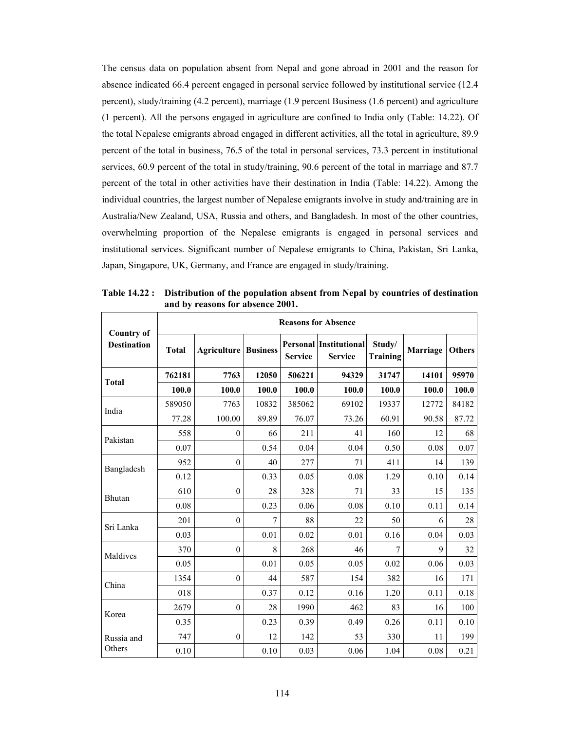The census data on population absent from Nepal and gone abroad in 2001 and the reason for absence indicated 66.4 percent engaged in personal service followed by institutional service (12.4 percent), study/training (4.2 percent), marriage (1.9 percent Business (1.6 percent) and agriculture (1 percent). All the persons engaged in agriculture are confined to India only (Table: 14.22). Of the total Nepalese emigrants abroad engaged in different activities, all the total in agriculture, 89.9 percent of the total in business, 76.5 of the total in personal services, 73.3 percent in institutional services, 60.9 percent of the total in study/training, 90.6 percent of the total in marriage and 87.7 percent of the total in other activities have their destination in India (Table: 14.22). Among the individual countries, the largest number of Nepalese emigrants involve in study and/training are in Australia/New Zealand, USA, Russia and others, and Bangladesh. In most of the other countries, overwhelming proportion of the Nepalese emigrants is engaged in personal services and institutional services. Significant number of Nepalese emigrants to China, Pakistan, Sri Lanka, Japan, Singapore, UK, Germany, and France are engaged in study/training.

| <b>Country of</b>  |              | <b>Reasons for Absence</b>  |       |                |                                                 |                           |                 |               |  |  |  |  |  |
|--------------------|--------------|-----------------------------|-------|----------------|-------------------------------------------------|---------------------------|-----------------|---------------|--|--|--|--|--|
| <b>Destination</b> | <b>Total</b> | <b>Agriculture Business</b> |       | <b>Service</b> | <b>Personal Institutional</b><br><b>Service</b> | Study/<br><b>Training</b> | <b>Marriage</b> | <b>Others</b> |  |  |  |  |  |
| <b>Total</b>       | 762181       | 7763                        | 12050 | 506221         | 94329                                           | 31747                     | 14101           | 95970         |  |  |  |  |  |
|                    | 100.0        | 100.0                       | 100.0 | 100.0          | 100.0                                           | 100.0                     | 100.0           | 100.0         |  |  |  |  |  |
| India              | 589050       | 7763                        | 10832 | 385062         | 69102                                           | 19337                     | 12772           | 84182         |  |  |  |  |  |
|                    | 77.28        | 100.00                      | 89.89 | 76.07          | 73.26                                           | 60.91                     | 90.58           | 87.72         |  |  |  |  |  |
| Pakistan           | 558          | $\mathbf{0}$                | 66    | 211            | 41                                              | 160                       | 12              | 68            |  |  |  |  |  |
|                    | 0.07         |                             | 0.54  | 0.04           | 0.04                                            | 0.50                      | 0.08            | 0.07          |  |  |  |  |  |
| Bangladesh         | 952          | $\mathbf{0}$                | 40    | 277            | 71                                              | 411                       | 14              | 139           |  |  |  |  |  |
|                    | 0.12         |                             | 0.33  | 0.05           | 0.08                                            | 1.29                      | 0.10            | 0.14          |  |  |  |  |  |
| Bhutan             | 610          | $\theta$                    | 28    | 328            | 71                                              | 33                        | 15              | 135           |  |  |  |  |  |
|                    | 0.08         |                             | 0.23  | 0.06           | 0.08                                            | 0.10                      | 0.11            | 0.14          |  |  |  |  |  |
| Sri Lanka          | 201          | $\theta$                    | 7     | 88             | 22                                              | 50                        | 6               | 28            |  |  |  |  |  |
|                    | 0.03         |                             | 0.01  | 0.02           | 0.01                                            | 0.16                      | 0.04            | 0.03          |  |  |  |  |  |
| Maldives           | 370          | $\mathbf{0}$                | 8     | 268            | 46                                              | 7                         | 9               | 32            |  |  |  |  |  |
|                    | 0.05         |                             | 0.01  | 0.05           | 0.05                                            | 0.02                      | 0.06            | 0.03          |  |  |  |  |  |
| China              | 1354         | $\mathbf{0}$                | 44    | 587            | 154                                             | 382                       | 16              | 171           |  |  |  |  |  |
|                    | 018          |                             | 0.37  | 0.12           | 0.16                                            | 1.20                      | 0.11            | 0.18          |  |  |  |  |  |
| Korea              | 2679         | $\mathbf{0}$                | 28    | 1990           | 462                                             | 83                        | 16              | 100           |  |  |  |  |  |
|                    | 0.35         |                             | 0.23  | 0.39           | 0.49                                            | 0.26                      | 0.11            | 0.10          |  |  |  |  |  |
| Russia and         | 747          | $\mathbf{0}$                | 12    | 142            | 53                                              | 330                       | 11              | 199           |  |  |  |  |  |
| Others             | 0.10         |                             | 0.10  | 0.03           | 0.06                                            | 1.04                      | 0.08            | 0.21          |  |  |  |  |  |

**Table 14.22 : Distribution of the population absent from Nepal by countries of destination and by reasons for absence 2001.**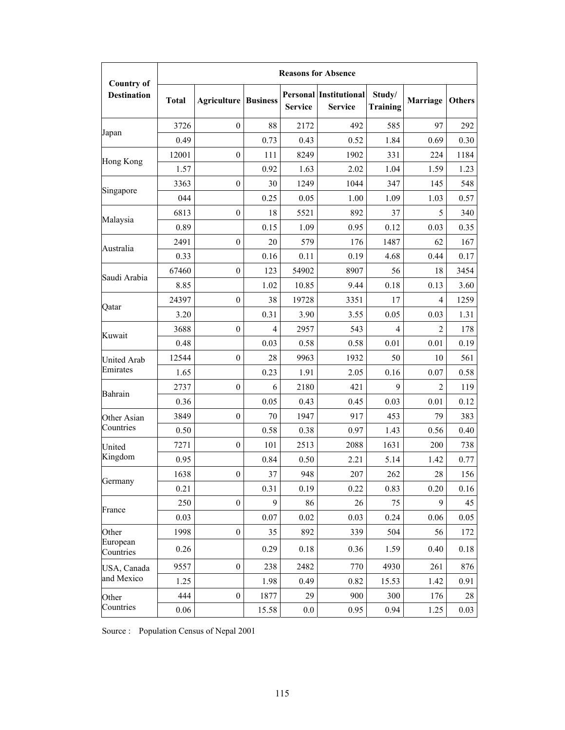|                                         | <b>Reasons for Absence</b> |                             |       |                |                                                 |                           |                |               |  |  |
|-----------------------------------------|----------------------------|-----------------------------|-------|----------------|-------------------------------------------------|---------------------------|----------------|---------------|--|--|
| <b>Country of</b><br><b>Destination</b> | <b>Total</b>               | <b>Agriculture Business</b> |       | <b>Service</b> | <b>Personal Institutional</b><br><b>Service</b> | Study/<br><b>Training</b> | Marriage       | <b>Others</b> |  |  |
| Japan                                   | 3726                       | $\boldsymbol{0}$            | 88    | 2172           | 492                                             | 585                       | 97             | 292           |  |  |
|                                         | 0.49                       |                             | 0.73  | 0.43           | 0.52                                            | 1.84                      | 0.69           | 0.30          |  |  |
| Hong Kong                               | 12001                      | $\mathbf{0}$                | 111   | 8249           | 1902                                            | 331                       | 224            | 1184          |  |  |
|                                         | 1.57                       |                             | 0.92  | 1.63           | 2.02                                            | 1.04                      | 1.59           | 1.23          |  |  |
| Singapore                               | 3363                       | $\boldsymbol{0}$            | 30    | 1249           | 1044                                            | 347                       | 145            | 548           |  |  |
|                                         | 044                        |                             | 0.25  | 0.05           | 1.00                                            | 1.09                      | 1.03           | 0.57          |  |  |
| Malaysia                                | 6813                       | $\boldsymbol{0}$            | 18    | 5521           | 892                                             | 37                        | 5              | 340           |  |  |
|                                         | 0.89                       |                             | 0.15  | 1.09           | 0.95                                            | 0.12                      | 0.03           | 0.35          |  |  |
|                                         | 2491                       | $\mathbf{0}$                | 20    | 579            | 176                                             | 1487                      | 62             | 167           |  |  |
| Australia                               | 0.33                       |                             | 0.16  | 0.11           | 0.19                                            | 4.68                      | 0.44           | 0.17          |  |  |
| Saudi Arabia                            | 67460                      | $\mathbf{0}$                | 123   | 54902          | 8907                                            | 56                        | 18             | 3454          |  |  |
|                                         | 8.85                       |                             | 1.02  | 10.85          | 9.44                                            | 0.18                      | 0.13           | 3.60          |  |  |
| Qatar                                   | 24397                      | $\boldsymbol{0}$            | 38    | 19728          | 3351                                            | 17                        | $\overline{4}$ | 1259          |  |  |
|                                         | 3.20                       |                             | 0.31  | 3.90           | 3.55                                            | 0.05                      | 0.03           | 1.31          |  |  |
| Kuwait                                  | 3688                       | $\boldsymbol{0}$            | 4     | 2957           | 543                                             | 4                         | 2              | 178           |  |  |
|                                         | 0.48                       |                             | 0.03  | 0.58           | 0.58                                            | 0.01                      | 0.01           | 0.19          |  |  |
| <b>United Arab</b><br>Emirates          | 12544                      | $\mathbf{0}$                | 28    | 9963           | 1932                                            | 50                        | 10             | 561           |  |  |
|                                         | 1.65                       |                             | 0.23  | 1.91           | 2.05                                            | 0.16                      | 0.07           | 0.58          |  |  |
| Bahrain                                 | 2737                       | $\mathbf{0}$                | 6     | 2180           | 421                                             | 9                         | $\overline{2}$ | 119           |  |  |
|                                         | 0.36                       |                             | 0.05  | 0.43           | 0.45                                            | 0.03                      | 0.01           | 0.12          |  |  |
| Other Asian<br>Countries                | 3849                       | $\boldsymbol{0}$            | 70    | 1947           | 917                                             | 453                       | 79             | 383           |  |  |
|                                         | 0.50                       |                             | 0.58  | 0.38           | 0.97                                            | 1.43                      | 0.56           | 0.40          |  |  |
| United<br>Kingdom                       | 7271                       | $\boldsymbol{0}$            | 101   | 2513           | 2088                                            | 1631                      | 200            | 738           |  |  |
|                                         | 0.95                       |                             | 0.84  | 0.50           | 2.21                                            | 5.14                      | 1.42           | 0.77          |  |  |
| Germany                                 | 1638                       | $\boldsymbol{0}$            | 37    | 948            | $207\,$                                         | 262                       | $28\,$         | 156           |  |  |
|                                         | 0.21                       |                             | 0.31  | 0.19           | 0.22                                            | 0.83                      | 0.20           | 0.16          |  |  |
| France                                  | 250                        | $\boldsymbol{0}$            | 9     | 86             | 26                                              | 75                        | 9              | 45            |  |  |
|                                         | 0.03                       |                             | 0.07  | 0.02           | 0.03                                            | 0.24                      | 0.06           | 0.05          |  |  |
| Other<br>European<br>Countries          | 1998                       | $\boldsymbol{0}$            | 35    | 892            | 339                                             | 504                       | 56             | 172           |  |  |
|                                         | 0.26                       |                             | 0.29  | 0.18           | 0.36                                            | 1.59                      | 0.40           | 0.18          |  |  |
| USA, Canada<br>and Mexico               | 9557                       | $\boldsymbol{0}$            | 238   | 2482           | 770                                             | 4930                      | 261            | 876           |  |  |
|                                         | 1.25                       |                             | 1.98  | 0.49           | 0.82                                            | 15.53                     | 1.42           | 0.91          |  |  |
| Other<br>Countries                      | 444                        | $\boldsymbol{0}$            | 1877  | 29             | 900                                             | 300                       | 176            | 28            |  |  |
|                                         | 0.06                       |                             | 15.58 | $0.0\,$        | 0.95                                            | 0.94                      | 1.25           | 0.03          |  |  |

Source : Population Census of Nepal 2001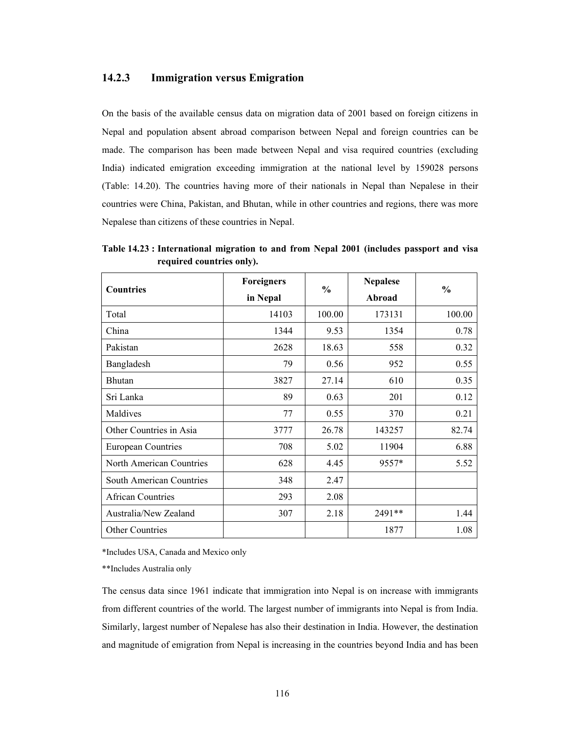# **14.2.3 Immigration versus Emigration**

On the basis of the available census data on migration data of 2001 based on foreign citizens in Nepal and population absent abroad comparison between Nepal and foreign countries can be made. The comparison has been made between Nepal and visa required countries (excluding India) indicated emigration exceeding immigration at the national level by 159028 persons (Table: 14.20). The countries having more of their nationals in Nepal than Nepalese in their countries were China, Pakistan, and Bhutan, while in other countries and regions, there was more Nepalese than citizens of these countries in Nepal.

| <b>Countries</b>                | <b>Foreigners</b> | $\frac{0}{0}$ | <b>Nepalese</b> | $\frac{0}{0}$ |  |
|---------------------------------|-------------------|---------------|-----------------|---------------|--|
|                                 | in Nepal          |               | Abroad          |               |  |
| Total                           | 14103             | 100.00        | 173131          | 100.00        |  |
| China                           | 1344              | 9.53          | 1354            | 0.78          |  |
| Pakistan                        | 2628              | 18.63         | 558             | 0.32          |  |
| Bangladesh                      | 79                | 0.56          | 952             | 0.55          |  |
| Bhutan                          | 3827              | 27.14         | 610             | 0.35          |  |
| Sri Lanka                       | 89                | 0.63          | 201             | 0.12          |  |
| Maldives                        | 77                | 0.55          | 370             | 0.21          |  |
| Other Countries in Asia         | 3777              | 26.78         | 143257          | 82.74         |  |
| <b>European Countries</b>       | 708               | 5.02          | 11904           | 6.88          |  |
| North American Countries        | 628               | 4.45          | 9557*           | 5.52          |  |
| <b>South American Countries</b> | 348               | 2.47          |                 |               |  |
| <b>African Countries</b>        | 293               | 2.08          |                 |               |  |
| Australia/New Zealand           | 307               | 2.18          | 2491**          | 1.44          |  |
| Other Countries                 |                   |               | 1877            | 1.08          |  |

**Table 14.23 : International migration to and from Nepal 2001 (includes passport and visa required countries only).** 

\*Includes USA, Canada and Mexico only

\*\*Includes Australia only

The census data since 1961 indicate that immigration into Nepal is on increase with immigrants from different countries of the world. The largest number of immigrants into Nepal is from India. Similarly, largest number of Nepalese has also their destination in India. However, the destination and magnitude of emigration from Nepal is increasing in the countries beyond India and has been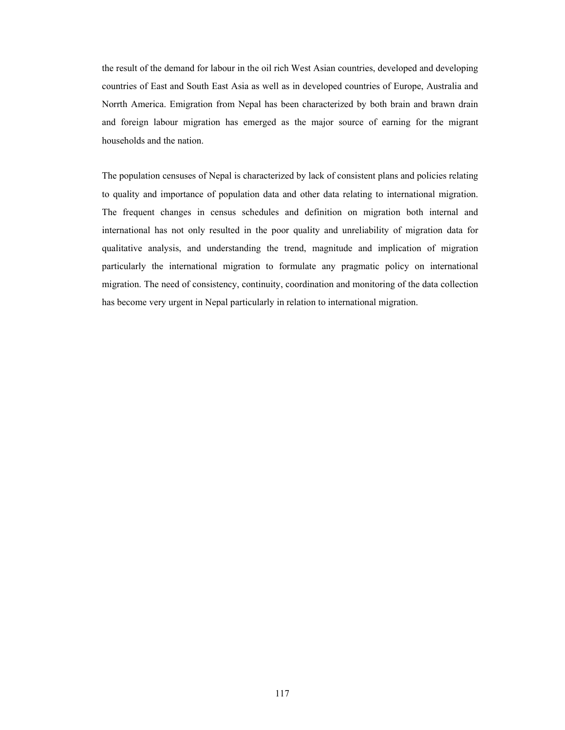the result of the demand for labour in the oil rich West Asian countries, developed and developing countries of East and South East Asia as well as in developed countries of Europe, Australia and Norrth America. Emigration from Nepal has been characterized by both brain and brawn drain and foreign labour migration has emerged as the major source of earning for the migrant households and the nation.

The population censuses of Nepal is characterized by lack of consistent plans and policies relating to quality and importance of population data and other data relating to international migration. The frequent changes in census schedules and definition on migration both internal and international has not only resulted in the poor quality and unreliability of migration data for qualitative analysis, and understanding the trend, magnitude and implication of migration particularly the international migration to formulate any pragmatic policy on international migration. The need of consistency, continuity, coordination and monitoring of the data collection has become very urgent in Nepal particularly in relation to international migration.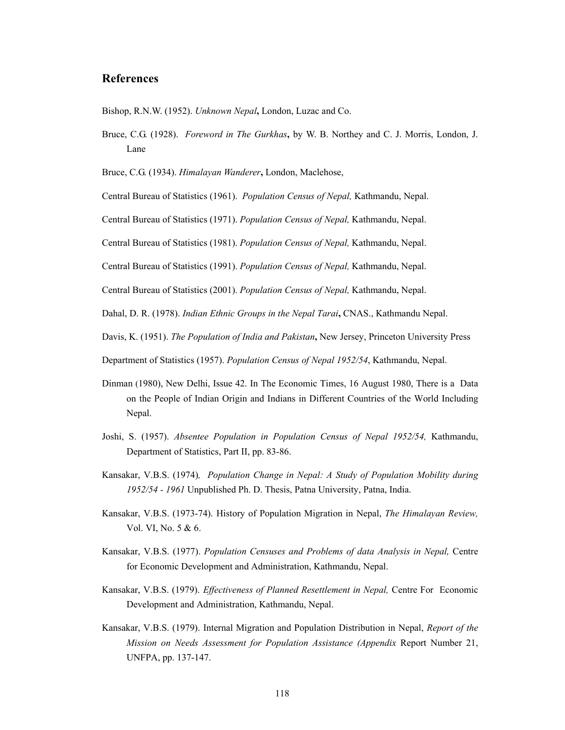# **References**

Bishop, R.N.W. (1952). *Unknown Nepal***,** London, Luzac and Co.

Bruce, C.G. (1928). *Foreword in The Gurkhas***,** by W. B. Northey and C. J. Morris, London, J. Lane

Bruce, C.G. (1934). *Himalayan Wanderer***,** London, Maclehose,

Central Bureau of Statistics (1961). *Population Census of Nepal,* Kathmandu, Nepal.

Central Bureau of Statistics (1971). *Population Census of Nepal,* Kathmandu, Nepal.

Central Bureau of Statistics (1981). *Population Census of Nepal,* Kathmandu, Nepal.

Central Bureau of Statistics (1991). *Population Census of Nepal,* Kathmandu, Nepal.

Central Bureau of Statistics (2001). *Population Census of Nepal,* Kathmandu, Nepal.

Dahal, D. R. (1978). *Indian Ethnic Groups in the Nepal Tarai***,** CNAS., Kathmandu Nepal.

Davis, K. (1951). *The Population of India and Pakistan***,** New Jersey, Princeton University Press

Department of Statistics (1957). *Population Census of Nepal 1952/54*, Kathmandu, Nepal.

- Dinman (1980), New Delhi, Issue 42. In The Economic Times, 16 August 1980, There is a Data on the People of Indian Origin and Indians in Different Countries of the World Including Nepal.
- Joshi, S. (1957). *Absentee Population in Population Census of Nepal 1952/54,* Kathmandu, Department of Statistics, Part II, pp. 83-86.
- Kansakar, V.B.S. (1974)*, Population Change in Nepal: A Study of Population Mobility during 1952/54 - 1961* Unpublished Ph. D. Thesis, Patna University, Patna, India.
- Kansakar, V.B.S. (1973-74). History of Population Migration in Nepal, *The Himalayan Review,*  Vol. VI, No. 5 & 6.
- Kansakar, V.B.S. (1977). *Population Censuses and Problems of data Analysis in Nepal,* Centre for Economic Development and Administration, Kathmandu, Nepal.
- Kansakar, V.B.S. (1979). *Effectiveness of Planned Resettlement in Nepal,* Centre For Economic Development and Administration, Kathmandu, Nepal.
- Kansakar, V.B.S. (1979). Internal Migration and Population Distribution in Nepal, *Report of the Mission on Needs Assessment for Population Assistance (Appendix* Report Number 21, UNFPA, pp. 137-147.